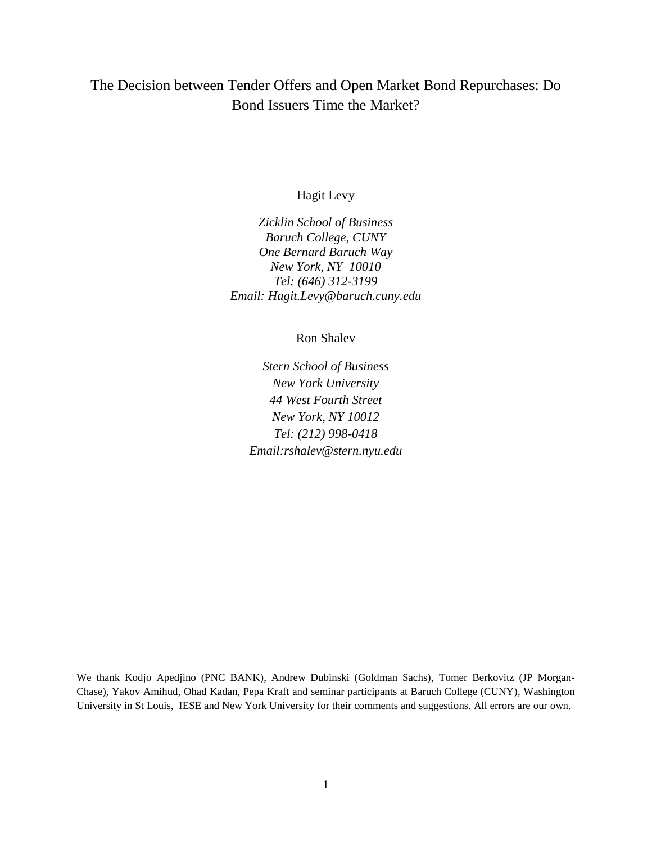## The Decision between Tender Offers and Open Market Bond Repurchases: Do Bond Issuers Time the Market?

#### Hagit Levy

*Zicklin School of Business Baruch College, CUNY One Bernard Baruch Way New York, NY 10010 Tel: (646) 312-3199 Email: Hagit.Levy@baruch.cuny.edu*

#### Ron Shalev

*Stern School of Business New York University 44 West Fourth Street New York, NY 10012 Tel: (212) 998-0418 Email:rshalev@stern.nyu.edu*

We thank Kodjo Apedjino (PNC BANK), Andrew Dubinski (Goldman Sachs), Tomer Berkovitz (JP Morgan-Chase), Yakov Amihud, Ohad Kadan, Pepa Kraft and seminar participants at Baruch College (CUNY), Washington University in St Louis, IESE and New York University for their comments and suggestions. All errors are our own.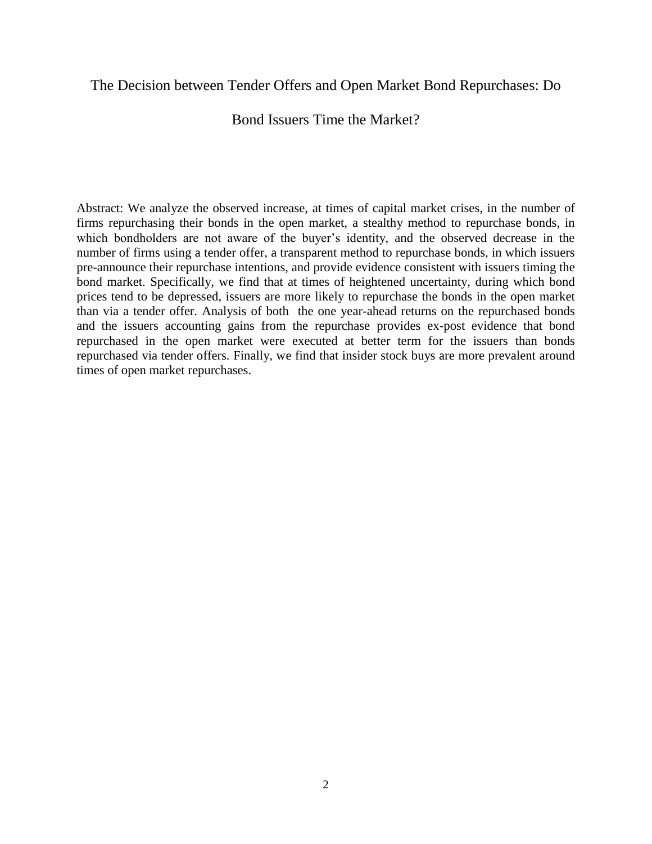### The Decision between Tender Offers and Open Market Bond Repurchases: Do

Bond Issuers Time the Market?

Abstract: We analyze the observed increase, at times of capital market crises, in the number of firms repurchasing their bonds in the open market, a stealthy method to repurchase bonds, in which bondholders are not aware of the buyer's identity, and the observed decrease in the number of firms using a tender offer, a transparent method to repurchase bonds, in which issuers pre-announce their repurchase intentions, and provide evidence consistent with issuers timing the bond market. Specifically, we find that at times of heightened uncertainty, during which bond prices tend to be depressed, issuers are more likely to repurchase the bonds in the open market than via a tender offer. Analysis of both the one year-ahead returns on the repurchased bonds and the issuers accounting gains from the repurchase provides ex-post evidence that bond repurchased in the open market were executed at better term for the issuers than bonds repurchased via tender offers. Finally, we find that insider stock buys are more prevalent around times of open market repurchases.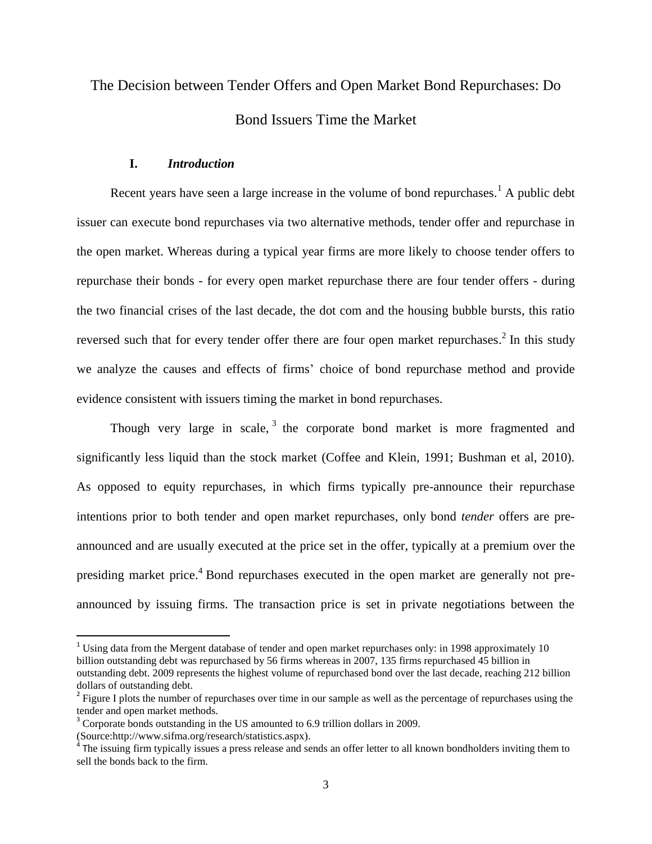# The Decision between Tender Offers and Open Market Bond Repurchases: Do Bond Issuers Time the Market

#### **I.** *Introduction*

Recent years have seen a large increase in the volume of bond repurchases.<sup>1</sup> A public debt issuer can execute bond repurchases via two alternative methods, tender offer and repurchase in the open market. Whereas during a typical year firms are more likely to choose tender offers to repurchase their bonds - for every open market repurchase there are four tender offers - during the two financial crises of the last decade, the dot com and the housing bubble bursts, this ratio reversed such that for every tender offer there are four open market repurchases.<sup>2</sup> In this study we analyze the causes and effects of firms' choice of bond repurchase method and provide evidence consistent with issuers timing the market in bond repurchases.

Though very large in scale,  $3$  the corporate bond market is more fragmented and significantly less liquid than the stock market (Coffee and Klein, 1991; Bushman et al, 2010). As opposed to equity repurchases, in which firms typically pre-announce their repurchase intentions prior to both tender and open market repurchases, only bond *tender* offers are preannounced and are usually executed at the price set in the offer, typically at a premium over the presiding market price.<sup>4</sup> Bond repurchases executed in the open market are generally not preannounced by issuing firms. The transaction price is set in private negotiations between the

 $\overline{\phantom{a}}$ 

<sup>&</sup>lt;sup>1</sup> Using data from the Mergent database of tender and open market repurchases only: in 1998 approximately 10 billion outstanding debt was repurchased by 56 firms whereas in 2007, 135 firms repurchased 45 billion in outstanding debt. 2009 represents the highest volume of repurchased bond over the last decade, reaching 212 billion dollars of outstanding debt.

 $2<sup>2</sup>$  Figure I plots the number of repurchases over time in our sample as well as the percentage of repurchases using the tender and open market methods.

<sup>&</sup>lt;sup>3</sup> Corporate bonds outstanding in the US amounted to 6.9 trillion dollars in 2009.

<sup>(</sup>Source:http://www.sifma.org/research/statistics.aspx). 4 The issuing firm typically issues a press release and sends an offer letter to all known bondholders inviting them to sell the bonds back to the firm.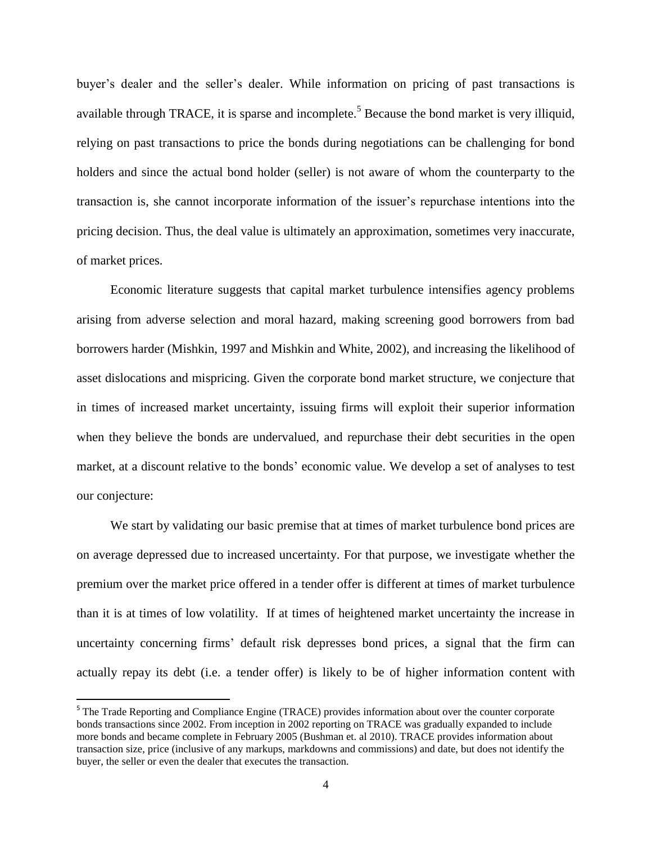buyer's dealer and the seller's dealer. While information on pricing of past transactions is available through TRACE, it is sparse and incomplete.<sup>5</sup> Because the bond market is very illiquid, relying on past transactions to price the bonds during negotiations can be challenging for bond holders and since the actual bond holder (seller) is not aware of whom the counterparty to the transaction is, she cannot incorporate information of the issuer's repurchase intentions into the pricing decision. Thus, the deal value is ultimately an approximation, sometimes very inaccurate, of market prices.

Economic literature suggests that capital market turbulence intensifies agency problems arising from adverse selection and moral hazard, making screening good borrowers from bad borrowers harder (Mishkin, 1997 and Mishkin and White, 2002), and increasing the likelihood of asset dislocations and mispricing. Given the corporate bond market structure, we conjecture that in times of increased market uncertainty, issuing firms will exploit their superior information when they believe the bonds are undervalued, and repurchase their debt securities in the open market, at a discount relative to the bonds' economic value. We develop a set of analyses to test our conjecture:

We start by validating our basic premise that at times of market turbulence bond prices are on average depressed due to increased uncertainty. For that purpose, we investigate whether the premium over the market price offered in a tender offer is different at times of market turbulence than it is at times of low volatility. If at times of heightened market uncertainty the increase in uncertainty concerning firms' default risk depresses bond prices, a signal that the firm can actually repay its debt (i.e. a tender offer) is likely to be of higher information content with

 $\overline{a}$ 

<sup>&</sup>lt;sup>5</sup> The Trade Reporting and Compliance Engine (TRACE) provides information about over the counter corporate bonds transactions since 2002. From inception in 2002 reporting on TRACE was gradually expanded to include more bonds and became complete in February 2005 (Bushman et. al 2010). TRACE provides information about transaction size, price (inclusive of any markups, markdowns and commissions) and date, but does not identify the buyer, the seller or even the dealer that executes the transaction.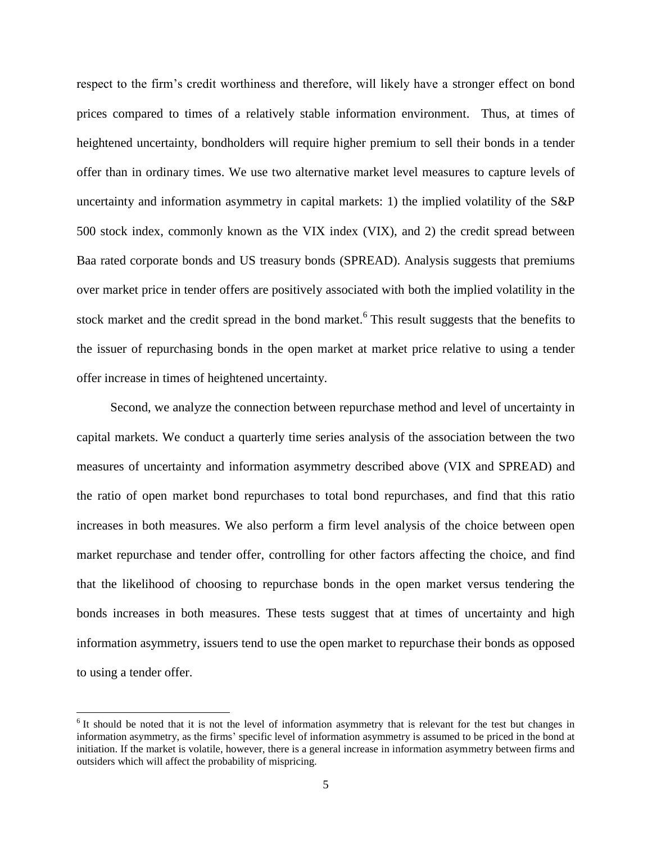respect to the firm's credit worthiness and therefore, will likely have a stronger effect on bond prices compared to times of a relatively stable information environment. Thus, at times of heightened uncertainty, bondholders will require higher premium to sell their bonds in a tender offer than in ordinary times. We use two alternative market level measures to capture levels of uncertainty and information asymmetry in capital markets: 1) the implied volatility of the S&P 500 stock index, commonly known as the VIX index (VIX), and 2) the credit spread between Baa rated corporate bonds and US treasury bonds (SPREAD). Analysis suggests that premiums over market price in tender offers are positively associated with both the implied volatility in the stock market and the credit spread in the bond market.<sup>6</sup> This result suggests that the benefits to the issuer of repurchasing bonds in the open market at market price relative to using a tender offer increase in times of heightened uncertainty.

Second, we analyze the connection between repurchase method and level of uncertainty in capital markets. We conduct a quarterly time series analysis of the association between the two measures of uncertainty and information asymmetry described above (VIX and SPREAD) and the ratio of open market bond repurchases to total bond repurchases, and find that this ratio increases in both measures. We also perform a firm level analysis of the choice between open market repurchase and tender offer, controlling for other factors affecting the choice, and find that the likelihood of choosing to repurchase bonds in the open market versus tendering the bonds increases in both measures. These tests suggest that at times of uncertainty and high information asymmetry, issuers tend to use the open market to repurchase their bonds as opposed to using a tender offer.

 $\overline{\phantom{a}}$ 

<sup>&</sup>lt;sup>6</sup> It should be noted that it is not the level of information asymmetry that is relevant for the test but changes in information asymmetry, as the firms' specific level of information asymmetry is assumed to be priced in the bond at initiation. If the market is volatile, however, there is a general increase in information asymmetry between firms and outsiders which will affect the probability of mispricing.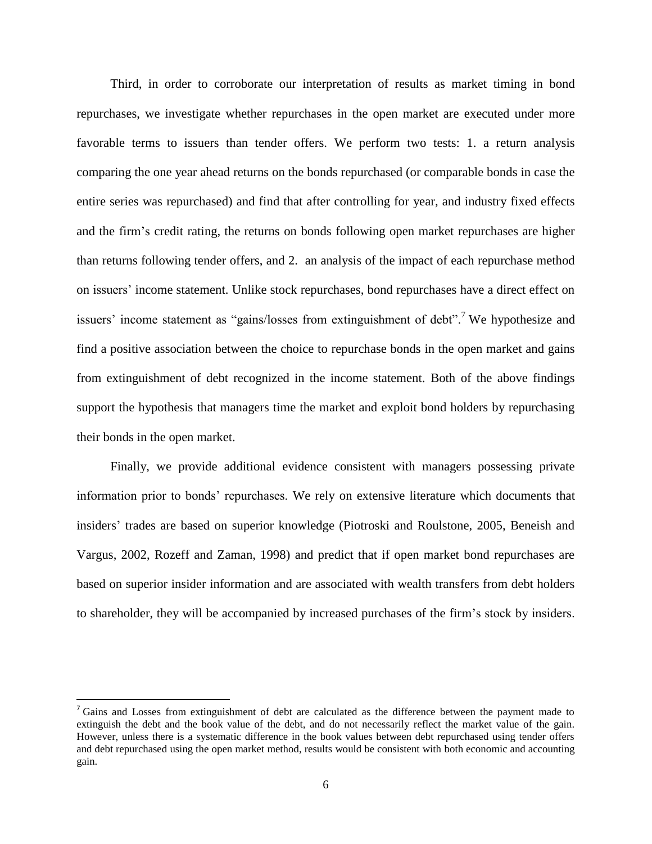Third, in order to corroborate our interpretation of results as market timing in bond repurchases, we investigate whether repurchases in the open market are executed under more favorable terms to issuers than tender offers. We perform two tests: 1. a return analysis comparing the one year ahead returns on the bonds repurchased (or comparable bonds in case the entire series was repurchased) and find that after controlling for year, and industry fixed effects and the firm's credit rating, the returns on bonds following open market repurchases are higher than returns following tender offers, and 2. an analysis of the impact of each repurchase method on issuers' income statement. Unlike stock repurchases, bond repurchases have a direct effect on issuers' income statement as "gains/losses from extinguishment of debt".<sup>7</sup> We hypothesize and find a positive association between the choice to repurchase bonds in the open market and gains from extinguishment of debt recognized in the income statement. Both of the above findings support the hypothesis that managers time the market and exploit bond holders by repurchasing their bonds in the open market.

Finally, we provide additional evidence consistent with managers possessing private information prior to bonds' repurchases. We rely on extensive literature which documents that insiders' trades are based on superior knowledge (Piotroski and Roulstone, 2005, Beneish and Vargus, 2002, Rozeff and Zaman, 1998) and predict that if open market bond repurchases are based on superior insider information and are associated with wealth transfers from debt holders to shareholder, they will be accompanied by increased purchases of the firm's stock by insiders.

 $\overline{a}$ 

<sup>&</sup>lt;sup>7</sup> Gains and Losses from extinguishment of debt are calculated as the difference between the payment made to extinguish the debt and the book value of the debt, and do not necessarily reflect the market value of the gain. However, unless there is a systematic difference in the book values between debt repurchased using tender offers and debt repurchased using the open market method, results would be consistent with both economic and accounting gain.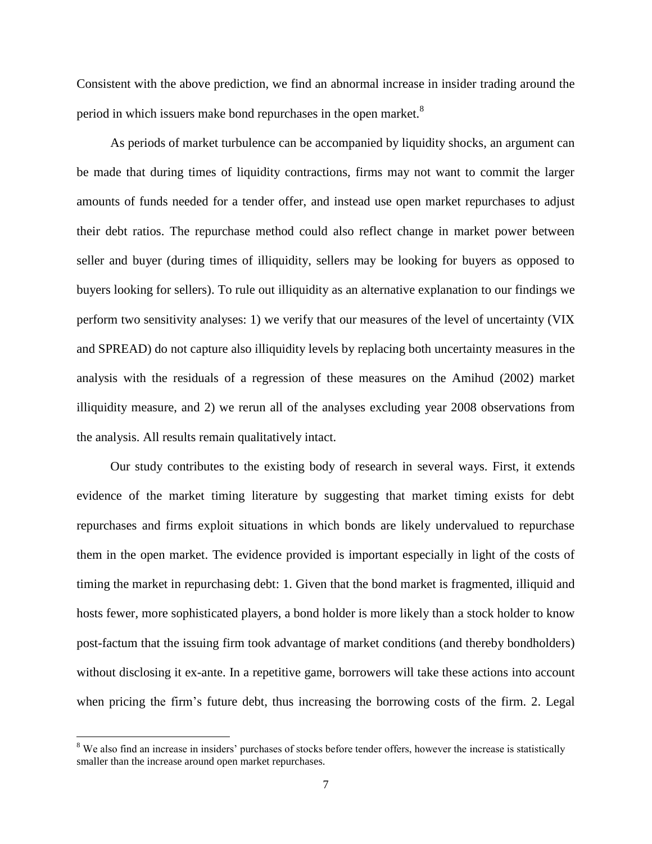Consistent with the above prediction, we find an abnormal increase in insider trading around the period in which issuers make bond repurchases in the open market.<sup>8</sup>

As periods of market turbulence can be accompanied by liquidity shocks, an argument can be made that during times of liquidity contractions, firms may not want to commit the larger amounts of funds needed for a tender offer, and instead use open market repurchases to adjust their debt ratios. The repurchase method could also reflect change in market power between seller and buyer (during times of illiquidity, sellers may be looking for buyers as opposed to buyers looking for sellers). To rule out illiquidity as an alternative explanation to our findings we perform two sensitivity analyses: 1) we verify that our measures of the level of uncertainty (VIX and SPREAD) do not capture also illiquidity levels by replacing both uncertainty measures in the analysis with the residuals of a regression of these measures on the Amihud (2002) market illiquidity measure, and 2) we rerun all of the analyses excluding year 2008 observations from the analysis. All results remain qualitatively intact.

Our study contributes to the existing body of research in several ways. First, it extends evidence of the market timing literature by suggesting that market timing exists for debt repurchases and firms exploit situations in which bonds are likely undervalued to repurchase them in the open market. The evidence provided is important especially in light of the costs of timing the market in repurchasing debt: 1. Given that the bond market is fragmented, illiquid and hosts fewer, more sophisticated players, a bond holder is more likely than a stock holder to know post-factum that the issuing firm took advantage of market conditions (and thereby bondholders) without disclosing it ex-ante. In a repetitive game, borrowers will take these actions into account when pricing the firm's future debt, thus increasing the borrowing costs of the firm. 2. Legal

 $\overline{\phantom{a}}$ 

<sup>&</sup>lt;sup>8</sup> We also find an increase in insiders' purchases of stocks before tender offers, however the increase is statistically smaller than the increase around open market repurchases.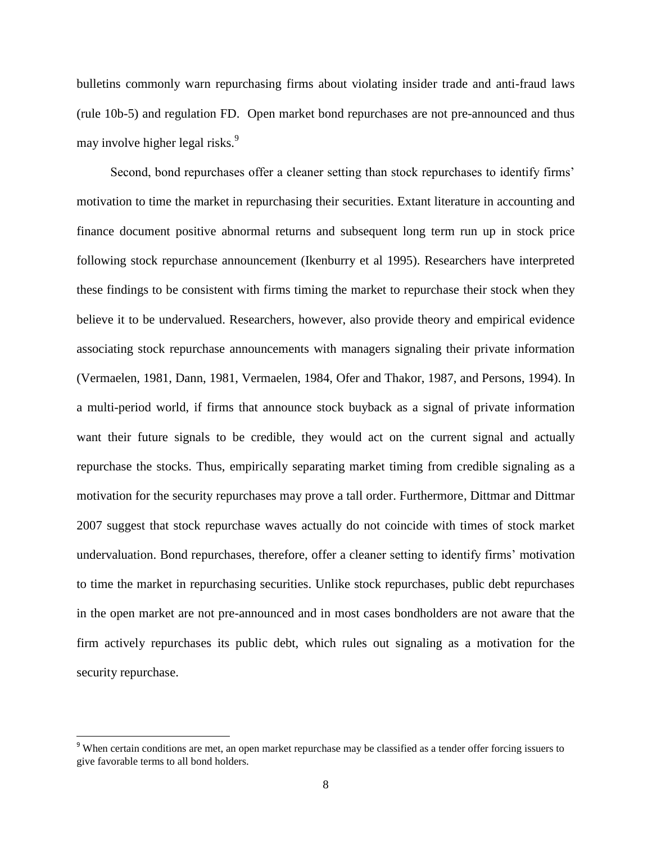bulletins commonly warn repurchasing firms about violating insider trade and anti-fraud laws (rule 10b-5) and regulation FD. Open market bond repurchases are not pre-announced and thus may involve higher legal risks.<sup>9</sup>

Second, bond repurchases offer a cleaner setting than stock repurchases to identify firms' motivation to time the market in repurchasing their securities. Extant literature in accounting and finance document positive abnormal returns and subsequent long term run up in stock price following stock repurchase announcement (Ikenburry et al 1995). Researchers have interpreted these findings to be consistent with firms timing the market to repurchase their stock when they believe it to be undervalued. Researchers, however, also provide theory and empirical evidence associating stock repurchase announcements with managers signaling their private information (Vermaelen, 1981, Dann, 1981, Vermaelen, 1984, Ofer and Thakor, 1987, and Persons, 1994). In a multi-period world, if firms that announce stock buyback as a signal of private information want their future signals to be credible, they would act on the current signal and actually repurchase the stocks. Thus, empirically separating market timing from credible signaling as a motivation for the security repurchases may prove a tall order. Furthermore, Dittmar and Dittmar 2007 suggest that stock repurchase waves actually do not coincide with times of stock market undervaluation. Bond repurchases, therefore, offer a cleaner setting to identify firms' motivation to time the market in repurchasing securities. Unlike stock repurchases, public debt repurchases in the open market are not pre-announced and in most cases bondholders are not aware that the firm actively repurchases its public debt, which rules out signaling as a motivation for the security repurchase.

l

<sup>&</sup>lt;sup>9</sup> When certain conditions are met, an open market repurchase may be classified as a tender offer forcing issuers to give favorable terms to all bond holders.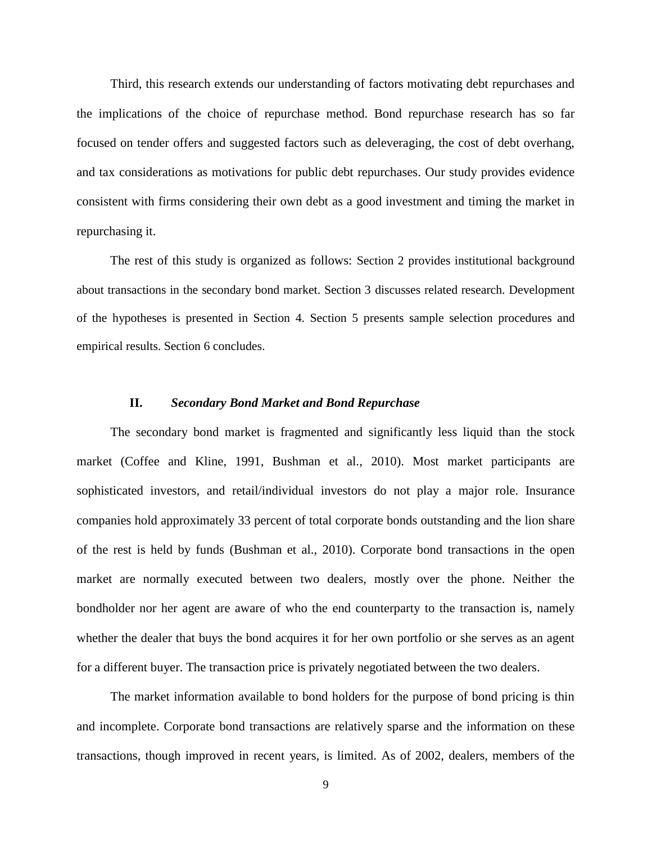Third, this research extends our understanding of factors motivating debt repurchases and the implications of the choice of repurchase method. Bond repurchase research has so far focused on tender offers and suggested factors such as deleveraging, the cost of debt overhang, and tax considerations as motivations for public debt repurchases. Our study provides evidence consistent with firms considering their own debt as a good investment and timing the market in repurchasing it.

The rest of this study is organized as follows: Section 2 provides institutional background about transactions in the secondary bond market. Section 3 discusses related research. Development of the hypotheses is presented in Section 4. Section 5 presents sample selection procedures and empirical results. Section 6 concludes.

#### **II.** *Secondary Bond Market and Bond Repurchase*

The secondary bond market is fragmented and significantly less liquid than the stock market (Coffee and Kline, 1991, Bushman et al., 2010). Most market participants are sophisticated investors, and retail/individual investors do not play a major role. Insurance companies hold approximately 33 percent of total corporate bonds outstanding and the lion share of the rest is held by funds (Bushman et al., 2010). Corporate bond transactions in the open market are normally executed between two dealers, mostly over the phone. Neither the bondholder nor her agent are aware of who the end counterparty to the transaction is, namely whether the dealer that buys the bond acquires it for her own portfolio or she serves as an agent for a different buyer. The transaction price is privately negotiated between the two dealers.

The market information available to bond holders for the purpose of bond pricing is thin and incomplete. Corporate bond transactions are relatively sparse and the information on these transactions, though improved in recent years, is limited. As of 2002, dealers, members of the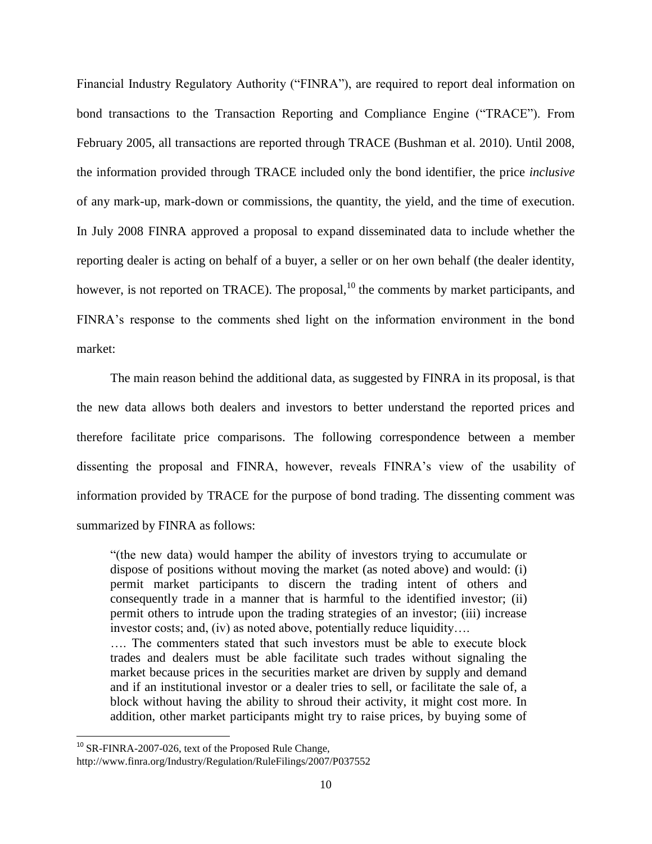Financial Industry Regulatory Authority ("FINRA"), are required to report deal information on bond transactions to the Transaction Reporting and Compliance Engine ("TRACE"). From February 2005, all transactions are reported through TRACE (Bushman et al. 2010). Until 2008, the information provided through TRACE included only the bond identifier, the price *inclusive* of any mark-up, mark-down or commissions, the quantity, the yield, and the time of execution. In July 2008 FINRA approved a proposal to expand disseminated data to include whether the reporting dealer is acting on behalf of a buyer, a seller or on her own behalf (the dealer identity, however, is not reported on TRACE). The proposal,  $^{10}$  the comments by market participants, and FINRA's response to the comments shed light on the information environment in the bond market:

The main reason behind the additional data, as suggested by FINRA in its proposal, is that the new data allows both dealers and investors to better understand the reported prices and therefore facilitate price comparisons. The following correspondence between a member dissenting the proposal and FINRA, however, reveals FINRA's view of the usability of information provided by TRACE for the purpose of bond trading. The dissenting comment was summarized by FINRA as follows:

"(the new data) would hamper the ability of investors trying to accumulate or dispose of positions without moving the market (as noted above) and would: (i) permit market participants to discern the trading intent of others and consequently trade in a manner that is harmful to the identified investor; (ii) permit others to intrude upon the trading strategies of an investor; (iii) increase investor costs; and, (iv) as noted above, potentially reduce liquidity…. …. The commenters stated that such investors must be able to execute block trades and dealers must be able facilitate such trades without signaling the market because prices in the securities market are driven by supply and demand and if an institutional investor or a dealer tries to sell, or facilitate the sale of, a block without having the ability to shroud their activity, it might cost more. In addition, other market participants might try to raise prices, by buying some of

l

<sup>&</sup>lt;sup>10</sup> SR-FINRA-2007-026, text of the Proposed Rule Change,

http://www.finra.org/Industry/Regulation/RuleFilings/2007/P037552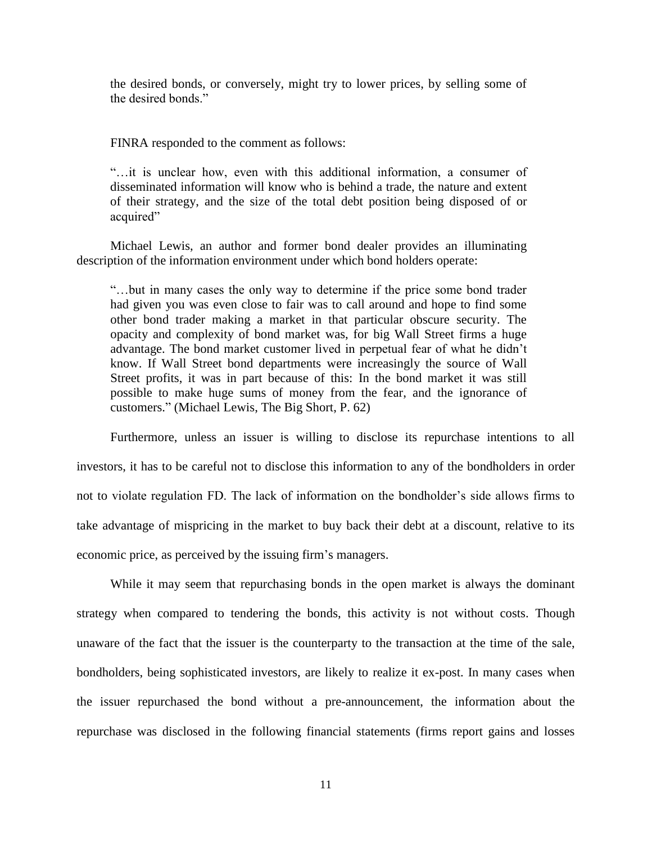the desired bonds, or conversely, might try to lower prices, by selling some of the desired bonds."

FINRA responded to the comment as follows:

"…it is unclear how, even with this additional information, a consumer of disseminated information will know who is behind a trade, the nature and extent of their strategy, and the size of the total debt position being disposed of or acquired"

Michael Lewis, an author and former bond dealer provides an illuminating description of the information environment under which bond holders operate:

"…but in many cases the only way to determine if the price some bond trader had given you was even close to fair was to call around and hope to find some other bond trader making a market in that particular obscure security. The opacity and complexity of bond market was, for big Wall Street firms a huge advantage. The bond market customer lived in perpetual fear of what he didn't know. If Wall Street bond departments were increasingly the source of Wall Street profits, it was in part because of this: In the bond market it was still possible to make huge sums of money from the fear, and the ignorance of customers." (Michael Lewis, The Big Short, P. 62)

Furthermore, unless an issuer is willing to disclose its repurchase intentions to all investors, it has to be careful not to disclose this information to any of the bondholders in order not to violate regulation FD. The lack of information on the bondholder's side allows firms to take advantage of mispricing in the market to buy back their debt at a discount, relative to its economic price, as perceived by the issuing firm's managers.

While it may seem that repurchasing bonds in the open market is always the dominant strategy when compared to tendering the bonds, this activity is not without costs. Though unaware of the fact that the issuer is the counterparty to the transaction at the time of the sale, bondholders, being sophisticated investors, are likely to realize it ex-post. In many cases when the issuer repurchased the bond without a pre-announcement, the information about the repurchase was disclosed in the following financial statements (firms report gains and losses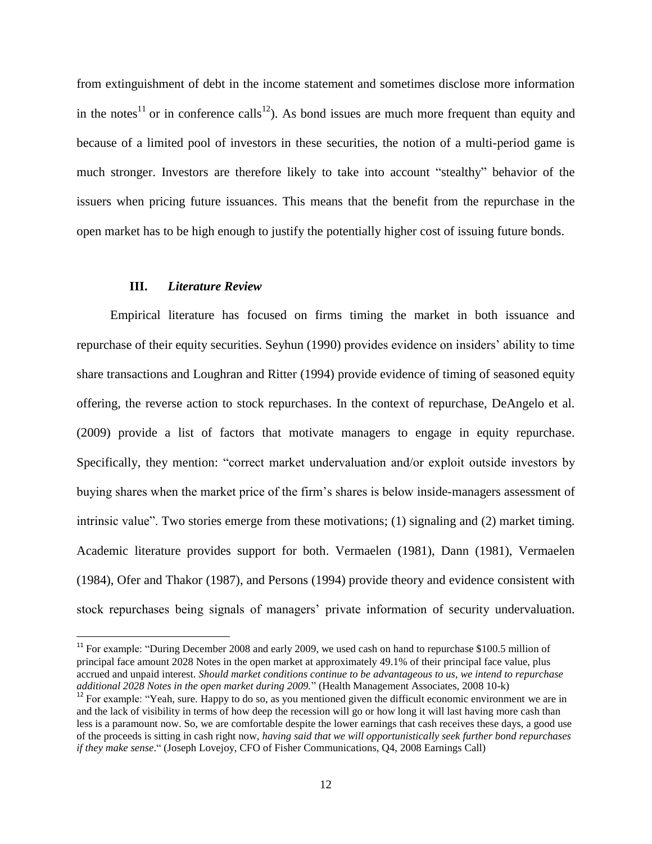from extinguishment of debt in the income statement and sometimes disclose more information in the notes<sup>11</sup> or in conference calls<sup>12</sup>). As bond issues are much more frequent than equity and because of a limited pool of investors in these securities, the notion of a multi-period game is much stronger. Investors are therefore likely to take into account "stealthy" behavior of the issuers when pricing future issuances. This means that the benefit from the repurchase in the open market has to be high enough to justify the potentially higher cost of issuing future bonds.

#### **III.** *Literature Review*

 $\overline{\phantom{a}}$ 

Empirical literature has focused on firms timing the market in both issuance and repurchase of their equity securities. Seyhun (1990) provides evidence on insiders' ability to time share transactions and Loughran and Ritter (1994) provide evidence of timing of seasoned equity offering, the reverse action to stock repurchases. In the context of repurchase, DeAngelo et al. (2009) provide a list of factors that motivate managers to engage in equity repurchase. Specifically, they mention: "correct market undervaluation and/or exploit outside investors by buying shares when the market price of the firm's shares is below inside-managers assessment of intrinsic value". Two stories emerge from these motivations; (1) signaling and (2) market timing. Academic literature provides support for both. Vermaelen (1981), Dann (1981), Vermaelen (1984), Ofer and Thakor (1987), and Persons (1994) provide theory and evidence consistent with stock repurchases being signals of managers' private information of security undervaluation.

<sup>&</sup>lt;sup>11</sup> For example: "During December 2008 and early 2009, we used cash on hand to repurchase \$100.5 million of principal face amount 2028 Notes in the open market at approximately 49.1% of their principal face value, plus accrued and unpaid interest. *Should market conditions continue to be advantageous to us, we intend to repurchase additional 2028 Notes in the open market during 2009.*" (Health Management Associates, 2008 10-k)

<sup>&</sup>lt;sup>12</sup> For example: "Yeah, sure. Happy to do so, as you mentioned given the difficult economic environment we are in and the lack of visibility in terms of how deep the recession will go or how long it will last having more cash than less is a paramount now. So, we are comfortable despite the lower earnings that cash receives these days, a good use of the proceeds is sitting in cash right now, *having said that we will opportunistically seek further bond repurchases if they make sense*." (Joseph Lovejoy, CFO of Fisher Communications, Q4, 2008 Earnings Call)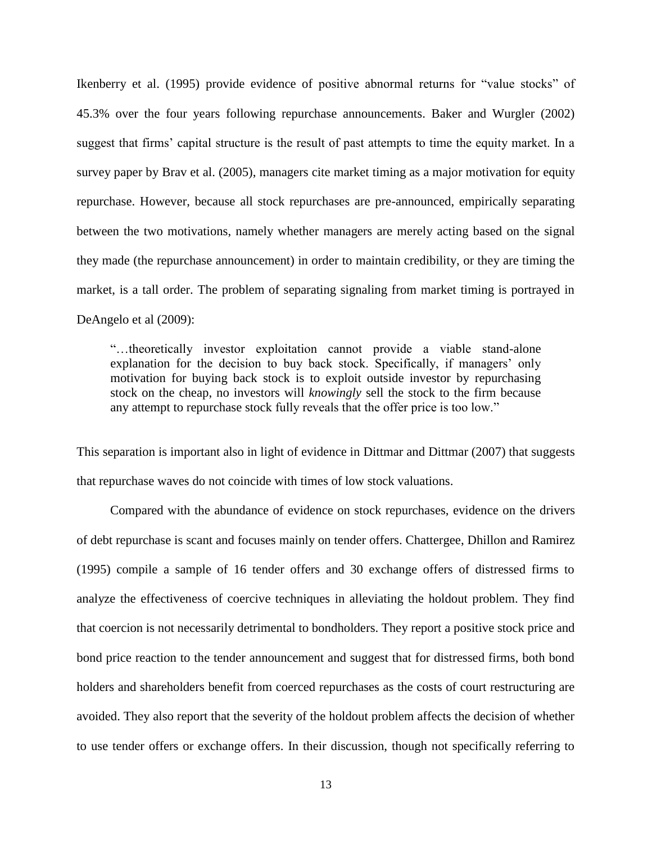Ikenberry et al. (1995) provide evidence of positive abnormal returns for "value stocks" of 45.3% over the four years following repurchase announcements. Baker and Wurgler (2002) suggest that firms' capital structure is the result of past attempts to time the equity market. In a survey paper by Brav et al. (2005), managers cite market timing as a major motivation for equity repurchase. However, because all stock repurchases are pre-announced, empirically separating between the two motivations, namely whether managers are merely acting based on the signal they made (the repurchase announcement) in order to maintain credibility, or they are timing the market, is a tall order. The problem of separating signaling from market timing is portrayed in DeAngelo et al (2009):

"…theoretically investor exploitation cannot provide a viable stand-alone explanation for the decision to buy back stock. Specifically, if managers' only motivation for buying back stock is to exploit outside investor by repurchasing stock on the cheap, no investors will *knowingly* sell the stock to the firm because any attempt to repurchase stock fully reveals that the offer price is too low."

This separation is important also in light of evidence in Dittmar and Dittmar (2007) that suggests that repurchase waves do not coincide with times of low stock valuations.

Compared with the abundance of evidence on stock repurchases, evidence on the drivers of debt repurchase is scant and focuses mainly on tender offers. Chattergee, Dhillon and Ramirez (1995) compile a sample of 16 tender offers and 30 exchange offers of distressed firms to analyze the effectiveness of coercive techniques in alleviating the holdout problem. They find that coercion is not necessarily detrimental to bondholders. They report a positive stock price and bond price reaction to the tender announcement and suggest that for distressed firms, both bond holders and shareholders benefit from coerced repurchases as the costs of court restructuring are avoided. They also report that the severity of the holdout problem affects the decision of whether to use tender offers or exchange offers. In their discussion, though not specifically referring to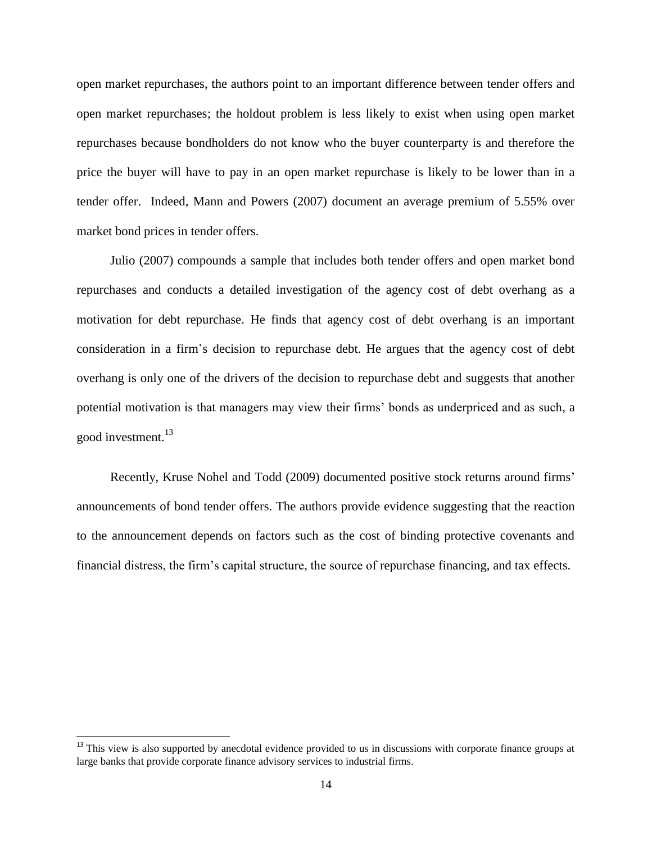open market repurchases, the authors point to an important difference between tender offers and open market repurchases; the holdout problem is less likely to exist when using open market repurchases because bondholders do not know who the buyer counterparty is and therefore the price the buyer will have to pay in an open market repurchase is likely to be lower than in a tender offer. Indeed, Mann and Powers (2007) document an average premium of 5.55% over market bond prices in tender offers.

Julio (2007) compounds a sample that includes both tender offers and open market bond repurchases and conducts a detailed investigation of the agency cost of debt overhang as a motivation for debt repurchase. He finds that agency cost of debt overhang is an important consideration in a firm's decision to repurchase debt. He argues that the agency cost of debt overhang is only one of the drivers of the decision to repurchase debt and suggests that another potential motivation is that managers may view their firms' bonds as underpriced and as such, a good investment.<sup>13</sup>

Recently, Kruse Nohel and Todd (2009) documented positive stock returns around firms' announcements of bond tender offers. The authors provide evidence suggesting that the reaction to the announcement depends on factors such as the cost of binding protective covenants and financial distress, the firm's capital structure, the source of repurchase financing, and tax effects.

l

<sup>&</sup>lt;sup>13</sup> This view is also supported by anecdotal evidence provided to us in discussions with corporate finance groups at large banks that provide corporate finance advisory services to industrial firms.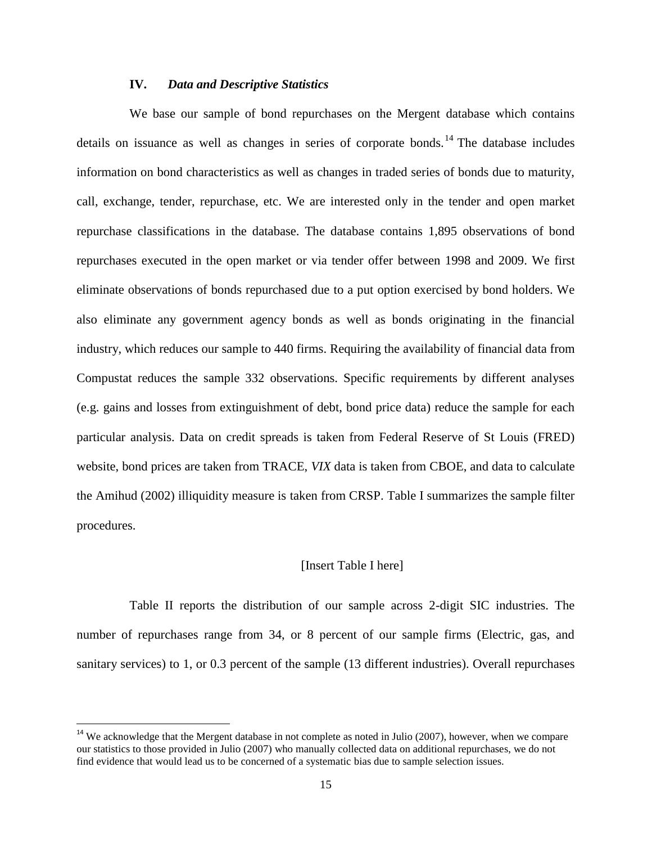#### **IV.** *Data and Descriptive Statistics*

We base our sample of bond repurchases on the Mergent database which contains details on issuance as well as changes in series of corporate bonds.<sup>14</sup> The database includes information on bond characteristics as well as changes in traded series of bonds due to maturity, call, exchange, tender, repurchase, etc. We are interested only in the tender and open market repurchase classifications in the database. The database contains 1,895 observations of bond repurchases executed in the open market or via tender offer between 1998 and 2009. We first eliminate observations of bonds repurchased due to a put option exercised by bond holders. We also eliminate any government agency bonds as well as bonds originating in the financial industry, which reduces our sample to 440 firms. Requiring the availability of financial data from Compustat reduces the sample 332 observations. Specific requirements by different analyses (e.g. gains and losses from extinguishment of debt, bond price data) reduce the sample for each particular analysis. Data on credit spreads is taken from Federal Reserve of St Louis (FRED) website, bond prices are taken from TRACE, *VIX* data is taken from CBOE, and data to calculate the Amihud (2002) illiquidity measure is taken from CRSP. Table I summarizes the sample filter procedures.

#### [Insert Table I here]

Table II reports the distribution of our sample across 2-digit SIC industries. The number of repurchases range from 34, or 8 percent of our sample firms (Electric, gas, and sanitary services) to 1, or 0.3 percent of the sample (13 different industries). Overall repurchases

 $\overline{\phantom{a}}$ 

 $14$  We acknowledge that the Mergent database in not complete as noted in Julio (2007), however, when we compare our statistics to those provided in Julio (2007) who manually collected data on additional repurchases, we do not find evidence that would lead us to be concerned of a systematic bias due to sample selection issues.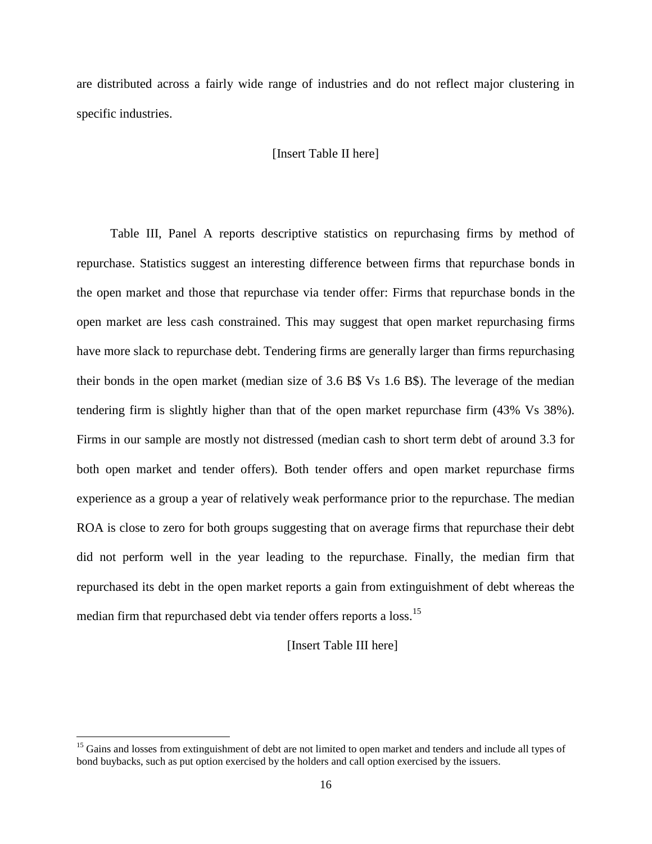are distributed across a fairly wide range of industries and do not reflect major clustering in specific industries.

#### [Insert Table II here]

Table III, Panel A reports descriptive statistics on repurchasing firms by method of repurchase. Statistics suggest an interesting difference between firms that repurchase bonds in the open market and those that repurchase via tender offer: Firms that repurchase bonds in the open market are less cash constrained. This may suggest that open market repurchasing firms have more slack to repurchase debt. Tendering firms are generally larger than firms repurchasing their bonds in the open market (median size of 3.6 B\$ Vs 1.6 B\$). The leverage of the median tendering firm is slightly higher than that of the open market repurchase firm (43% Vs 38%). Firms in our sample are mostly not distressed (median cash to short term debt of around 3.3 for both open market and tender offers). Both tender offers and open market repurchase firms experience as a group a year of relatively weak performance prior to the repurchase. The median ROA is close to zero for both groups suggesting that on average firms that repurchase their debt did not perform well in the year leading to the repurchase. Finally, the median firm that repurchased its debt in the open market reports a gain from extinguishment of debt whereas the median firm that repurchased debt via tender offers reports a loss.<sup>15</sup>

#### [Insert Table III here]

 $\overline{\phantom{a}}$ 

<sup>&</sup>lt;sup>15</sup> Gains and losses from extinguishment of debt are not limited to open market and tenders and include all types of bond buybacks, such as put option exercised by the holders and call option exercised by the issuers.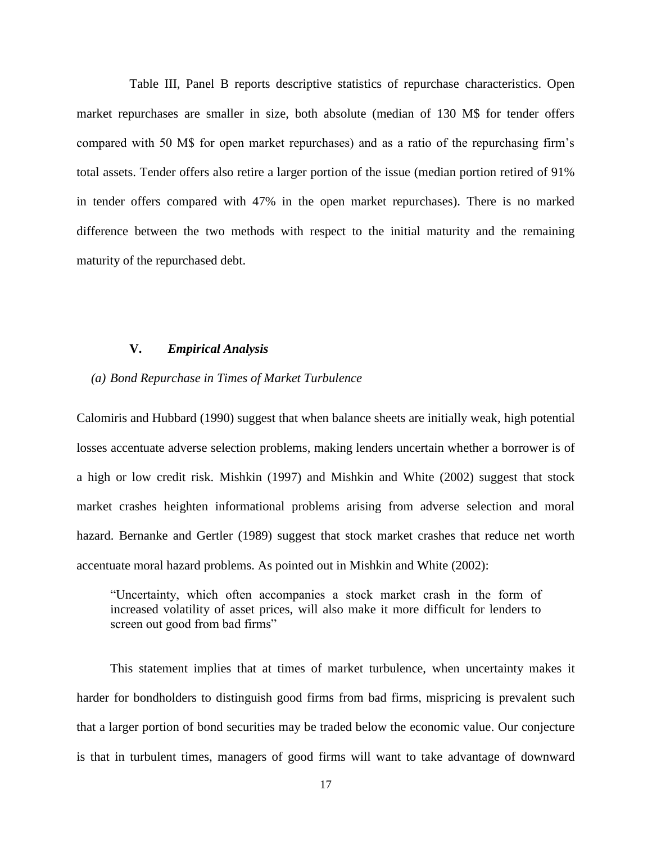Table III, Panel B reports descriptive statistics of repurchase characteristics. Open market repurchases are smaller in size, both absolute (median of 130 M\$ for tender offers compared with 50 M\$ for open market repurchases) and as a ratio of the repurchasing firm's total assets. Tender offers also retire a larger portion of the issue (median portion retired of 91% in tender offers compared with 47% in the open market repurchases). There is no marked difference between the two methods with respect to the initial maturity and the remaining maturity of the repurchased debt.

#### **V.** *Empirical Analysis*

#### *(a) Bond Repurchase in Times of Market Turbulence*

Calomiris and Hubbard (1990) suggest that when balance sheets are initially weak, high potential losses accentuate adverse selection problems, making lenders uncertain whether a borrower is of a high or low credit risk. Mishkin (1997) and Mishkin and White (2002) suggest that stock market crashes heighten informational problems arising from adverse selection and moral hazard. Bernanke and Gertler (1989) suggest that stock market crashes that reduce net worth accentuate moral hazard problems. As pointed out in Mishkin and White (2002):

"Uncertainty, which often accompanies a stock market crash in the form of increased volatility of asset prices, will also make it more difficult for lenders to screen out good from bad firms"

This statement implies that at times of market turbulence, when uncertainty makes it harder for bondholders to distinguish good firms from bad firms, mispricing is prevalent such that a larger portion of bond securities may be traded below the economic value. Our conjecture is that in turbulent times, managers of good firms will want to take advantage of downward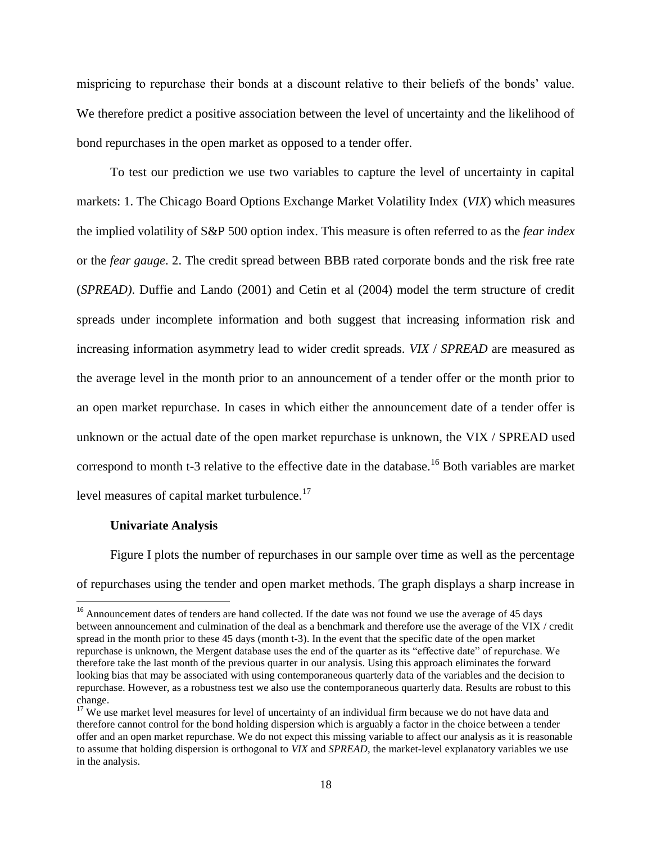mispricing to repurchase their bonds at a discount relative to their beliefs of the bonds' value. We therefore predict a positive association between the level of uncertainty and the likelihood of bond repurchases in the open market as opposed to a tender offer.

To test our prediction we use two variables to capture the level of uncertainty in capital markets: 1. The Chicago Board Options Exchange Market Volatility Index (*VIX*) which measures the implied volatility of S&P 500 option index. This measure is often referred to as the *fear index* or the *fear gauge*. 2. The credit spread between BBB rated corporate bonds and the risk free rate (*SPREAD)*. Duffie and Lando (2001) and Cetin et al (2004) model the term structure of credit spreads under incomplete information and both suggest that increasing information risk and increasing information asymmetry lead to wider credit spreads. *VIX* / *SPREAD* are measured as the average level in the month prior to an announcement of a tender offer or the month prior to an open market repurchase. In cases in which either the announcement date of a tender offer is unknown or the actual date of the open market repurchase is unknown, the VIX / SPREAD used correspond to month t-3 relative to the effective date in the database.<sup>16</sup> Both variables are market level measures of capital market turbulence.<sup>17</sup>

#### **Univariate Analysis**

 $\overline{\phantom{a}}$ 

Figure I plots the number of repurchases in our sample over time as well as the percentage of repurchases using the tender and open market methods. The graph displays a sharp increase in

<sup>&</sup>lt;sup>16</sup> Announcement dates of tenders are hand collected. If the date was not found we use the average of 45 days between announcement and culmination of the deal as a benchmark and therefore use the average of the VIX / credit spread in the month prior to these 45 days (month t-3). In the event that the specific date of the open market repurchase is unknown, the Mergent database uses the end of the quarter as its "effective date" of repurchase. We therefore take the last month of the previous quarter in our analysis. Using this approach eliminates the forward looking bias that may be associated with using contemporaneous quarterly data of the variables and the decision to repurchase. However, as a robustness test we also use the contemporaneous quarterly data. Results are robust to this change.

 $17$  We use market level measures for level of uncertainty of an individual firm because we do not have data and therefore cannot control for the bond holding dispersion which is arguably a factor in the choice between a tender offer and an open market repurchase. We do not expect this missing variable to affect our analysis as it is reasonable to assume that holding dispersion is orthogonal to *VIX* and *SPREAD*, the market-level explanatory variables we use in the analysis.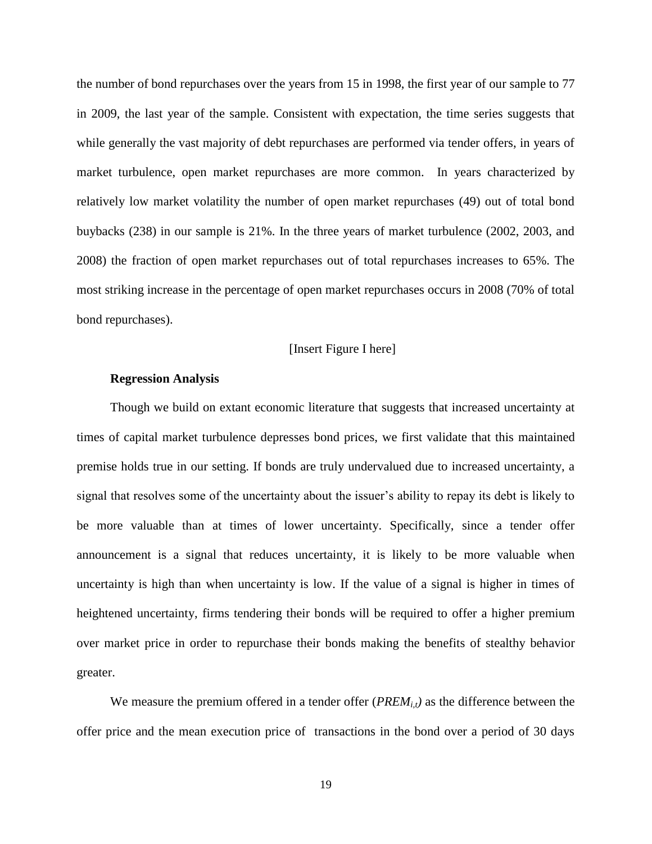the number of bond repurchases over the years from 15 in 1998, the first year of our sample to 77 in 2009, the last year of the sample. Consistent with expectation, the time series suggests that while generally the vast majority of debt repurchases are performed via tender offers, in years of market turbulence, open market repurchases are more common. In years characterized by relatively low market volatility the number of open market repurchases (49) out of total bond buybacks (238) in our sample is 21%. In the three years of market turbulence (2002, 2003, and 2008) the fraction of open market repurchases out of total repurchases increases to 65%. The most striking increase in the percentage of open market repurchases occurs in 2008 (70% of total bond repurchases).

#### [Insert Figure I here]

#### **Regression Analysis**

Though we build on extant economic literature that suggests that increased uncertainty at times of capital market turbulence depresses bond prices, we first validate that this maintained premise holds true in our setting. If bonds are truly undervalued due to increased uncertainty, a signal that resolves some of the uncertainty about the issuer's ability to repay its debt is likely to be more valuable than at times of lower uncertainty. Specifically, since a tender offer announcement is a signal that reduces uncertainty, it is likely to be more valuable when uncertainty is high than when uncertainty is low. If the value of a signal is higher in times of heightened uncertainty, firms tendering their bonds will be required to offer a higher premium over market price in order to repurchase their bonds making the benefits of stealthy behavior greater.

We measure the premium offered in a tender offer (*PREM<sub><i>it*</sub></sub>) as the difference between the offer price and the mean execution price of transactions in the bond over a period of 30 days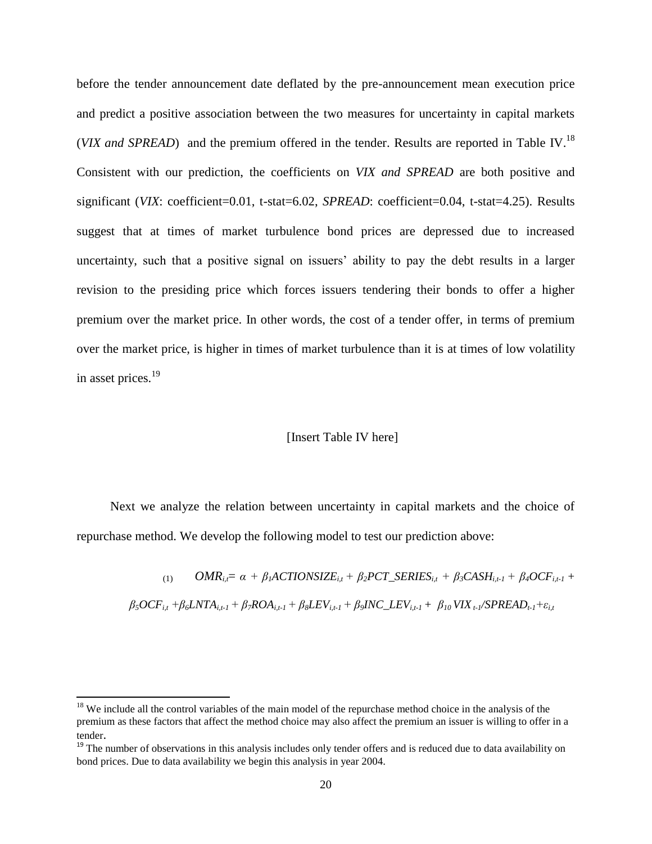before the tender announcement date deflated by the pre-announcement mean execution price and predict a positive association between the two measures for uncertainty in capital markets (*VIX and SPREAD*) and the premium offered in the tender. Results are reported in Table IV.<sup>18</sup> Consistent with our prediction, the coefficients on *VIX and SPREAD* are both positive and significant (*VIX*: coefficient=0.01, t-stat=6.02, *SPREAD*: coefficient=0.04, t-stat=4.25). Results suggest that at times of market turbulence bond prices are depressed due to increased uncertainty, such that a positive signal on issuers' ability to pay the debt results in a larger revision to the presiding price which forces issuers tendering their bonds to offer a higher premium over the market price. In other words, the cost of a tender offer, in terms of premium over the market price, is higher in times of market turbulence than it is at times of low volatility in asset prices.<sup>19</sup>

#### [Insert Table IV here]

Next we analyze the relation between uncertainty in capital markets and the choice of repurchase method. We develop the following model to test our prediction above:

> $OMR_i = \alpha + \beta_i$ ACTIONSIZE<sub>*i*t</sub></sub> +  $\beta_2$ PCT\_SERIES<sub>*it*</sub> +  $\beta_3$ CASH<sub>*it-1*</sub> +  $\beta_4$ OCF<sub>*it-1*</sub> +  $\beta_5 OCF_{it} + \beta_6 LNTA_{it-l} + \beta_7 ROA_{it-l} + \beta_8 LEV_{it-l} + \beta_9 INC\_LEV_{it-l} + \beta_{10} VIX_{t-l}/SPREAD_{t-l} + \varepsilon_{it}$

 $\overline{a}$ 

<sup>&</sup>lt;sup>18</sup> We include all the control variables of the main model of the repurchase method choice in the analysis of the premium as these factors that affect the method choice may also affect the premium an issuer is willing to offer in a tender.

<sup>&</sup>lt;sup>19</sup> The number of observations in this analysis includes only tender offers and is reduced due to data availability on bond prices. Due to data availability we begin this analysis in year 2004.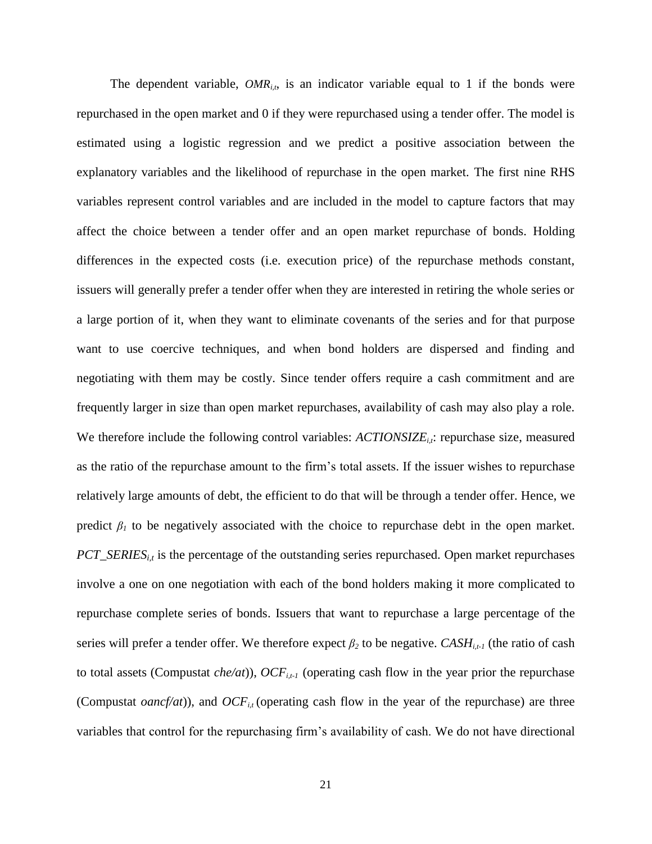The dependent variable,  $OMR_{i,t}$ , is an indicator variable equal to 1 if the bonds were repurchased in the open market and 0 if they were repurchased using a tender offer. The model is estimated using a logistic regression and we predict a positive association between the explanatory variables and the likelihood of repurchase in the open market. The first nine RHS variables represent control variables and are included in the model to capture factors that may affect the choice between a tender offer and an open market repurchase of bonds. Holding differences in the expected costs (i.e. execution price) of the repurchase methods constant, issuers will generally prefer a tender offer when they are interested in retiring the whole series or a large portion of it, when they want to eliminate covenants of the series and for that purpose want to use coercive techniques, and when bond holders are dispersed and finding and negotiating with them may be costly. Since tender offers require a cash commitment and are frequently larger in size than open market repurchases, availability of cash may also play a role. We therefore include the following control variables: *ACTIONSIZE<sub>i</sub>*, repurchase size, measured as the ratio of the repurchase amount to the firm's total assets. If the issuer wishes to repurchase relatively large amounts of debt, the efficient to do that will be through a tender offer. Hence, we predict  $\beta$ <sup>*I*</sup> to be negatively associated with the choice to repurchase debt in the open market. *PCT\_SERIES*<sub>*i,t*</sub> is the percentage of the outstanding series repurchased. Open market repurchases involve a one on one negotiation with each of the bond holders making it more complicated to repurchase complete series of bonds. Issuers that want to repurchase a large percentage of the series will prefer a tender offer. We therefore expect  $\beta_2$  to be negative. *CASH*<sub>*i*,t-1</sub> (the ratio of cash to total assets (Compustat *che/at*)),  $OCF_{i,t-1}$  (operating cash flow in the year prior the repurchase (Compustat *oancf/at*)), and  $OCF_{i}$  (operating cash flow in the year of the repurchase) are three variables that control for the repurchasing firm's availability of cash. We do not have directional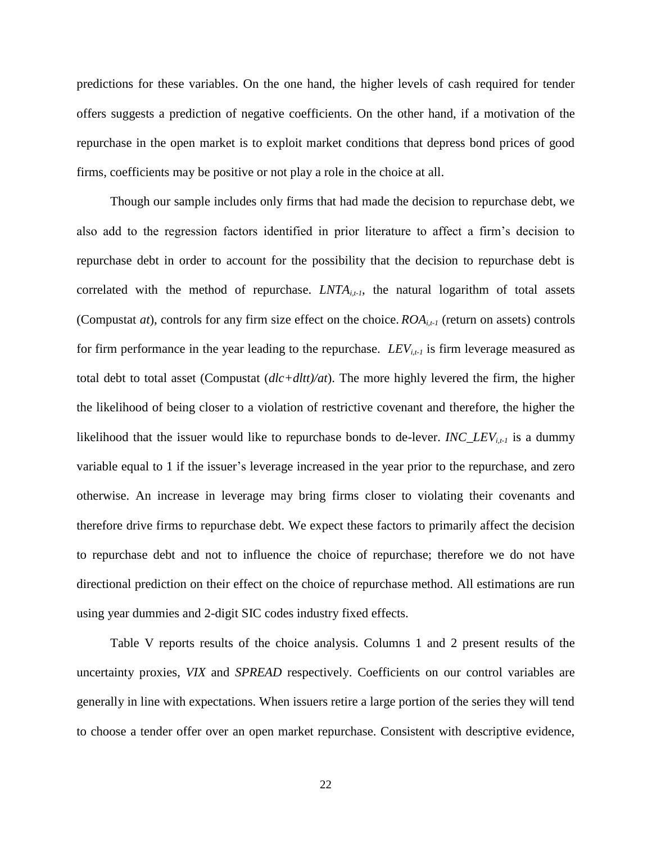predictions for these variables. On the one hand, the higher levels of cash required for tender offers suggests a prediction of negative coefficients. On the other hand, if a motivation of the repurchase in the open market is to exploit market conditions that depress bond prices of good firms, coefficients may be positive or not play a role in the choice at all.

Though our sample includes only firms that had made the decision to repurchase debt, we also add to the regression factors identified in prior literature to affect a firm's decision to repurchase debt in order to account for the possibility that the decision to repurchase debt is correlated with the method of repurchase.  $LNTA_{i,t}$ , the natural logarithm of total assets (Compustat *at*), controls for any firm size effect on the choice.  $ROA<sub>i,t-1</sub>$  (return on assets) controls for firm performance in the year leading to the repurchase. *LEVi,t-1* is firm leverage measured as total debt to total asset (Compustat (*dlc+dltt)/at*). The more highly levered the firm, the higher the likelihood of being closer to a violation of restrictive covenant and therefore, the higher the likelihood that the issuer would like to repurchase bonds to de-lever. *INC\_LEVi,t-1* is a dummy variable equal to 1 if the issuer's leverage increased in the year prior to the repurchase, and zero otherwise. An increase in leverage may bring firms closer to violating their covenants and therefore drive firms to repurchase debt. We expect these factors to primarily affect the decision to repurchase debt and not to influence the choice of repurchase; therefore we do not have directional prediction on their effect on the choice of repurchase method. All estimations are run using year dummies and 2-digit SIC codes industry fixed effects.

Table V reports results of the choice analysis. Columns 1 and 2 present results of the uncertainty proxies, *VIX* and *SPREAD* respectively. Coefficients on our control variables are generally in line with expectations. When issuers retire a large portion of the series they will tend to choose a tender offer over an open market repurchase. Consistent with descriptive evidence,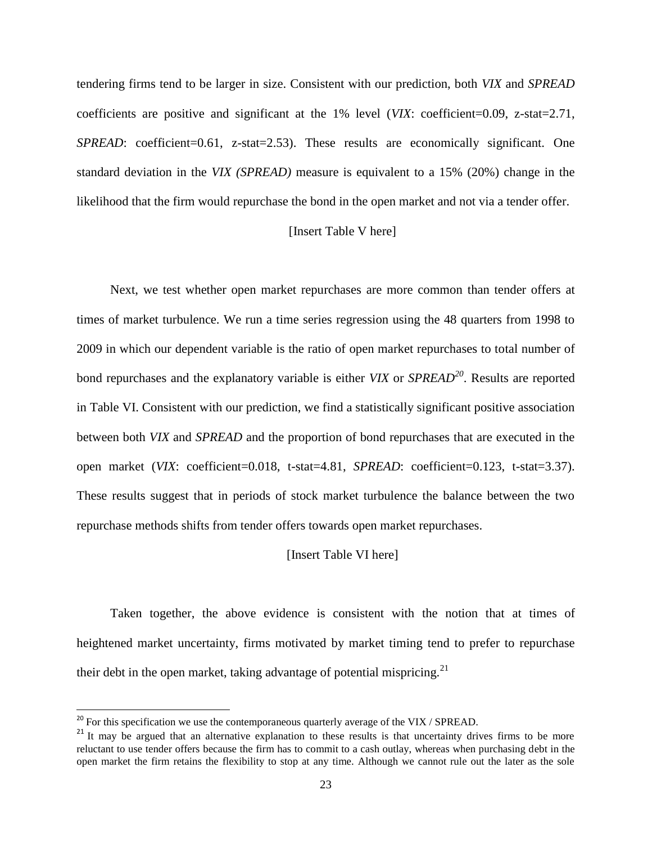tendering firms tend to be larger in size. Consistent with our prediction, both *VIX* and *SPREAD* coefficients are positive and significant at the 1% level (*VIX*: coefficient=0.09, z-stat=2.71, *SPREAD*: coefficient=0.61, z-stat=2.53). These results are economically significant. One standard deviation in the *VIX (SPREAD)* measure is equivalent to a 15% (20%) change in the likelihood that the firm would repurchase the bond in the open market and not via a tender offer.

#### [Insert Table V here]

Next, we test whether open market repurchases are more common than tender offers at times of market turbulence. We run a time series regression using the 48 quarters from 1998 to 2009 in which our dependent variable is the ratio of open market repurchases to total number of bond repurchases and the explanatory variable is either *VIX* or *SPREAD<sup>20</sup>* . Results are reported in Table VI. Consistent with our prediction, we find a statistically significant positive association between both *VIX* and *SPREAD* and the proportion of bond repurchases that are executed in the open market (*VIX*: coefficient=0.018, t-stat=4.81, *SPREAD*: coefficient=0.123, t-stat=3.37). These results suggest that in periods of stock market turbulence the balance between the two repurchase methods shifts from tender offers towards open market repurchases.

#### [Insert Table VI here]

Taken together, the above evidence is consistent with the notion that at times of heightened market uncertainty, firms motivated by market timing tend to prefer to repurchase their debt in the open market, taking advantage of potential mispricing.<sup>21</sup>

 $\overline{\phantom{a}}$ 

 $^{20}$  For this specification we use the contemporaneous quarterly average of the VIX / SPREAD.

<sup>&</sup>lt;sup>21</sup> It may be argued that an alternative explanation to these results is that uncertainty drives firms to be more reluctant to use tender offers because the firm has to commit to a cash outlay, whereas when purchasing debt in the open market the firm retains the flexibility to stop at any time. Although we cannot rule out the later as the sole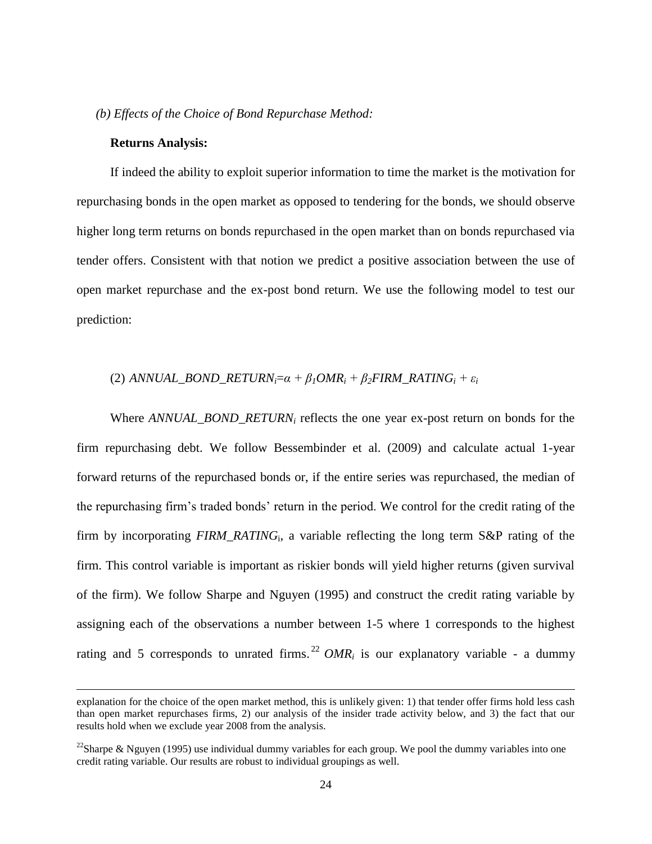#### *(b) Effects of the Choice of Bond Repurchase Method:*

#### **Returns Analysis:**

 $\overline{\phantom{a}}$ 

If indeed the ability to exploit superior information to time the market is the motivation for repurchasing bonds in the open market as opposed to tendering for the bonds, we should observe higher long term returns on bonds repurchased in the open market than on bonds repurchased via tender offers. Consistent with that notion we predict a positive association between the use of open market repurchase and the ex-post bond return. We use the following model to test our prediction:

#### (2)  $ANNUAL\_BOND\_RETURN_i = \alpha + \beta_1 OMR_i + \beta_2 FIRM\_RATING_i + \varepsilon_i$

Where *ANNUAL\_BOND\_RETURN<sup>i</sup>* reflects the one year ex-post return on bonds for the firm repurchasing debt. We follow Bessembinder et al. (2009) and calculate actual 1-year forward returns of the repurchased bonds or, if the entire series was repurchased, the median of the repurchasing firm's traded bonds' return in the period. We control for the credit rating of the firm by incorporating *FIRM\_RATING*<sup>i</sup> , a variable reflecting the long term S&P rating of the firm. This control variable is important as riskier bonds will yield higher returns (given survival of the firm). We follow Sharpe and Nguyen (1995) and construct the credit rating variable by assigning each of the observations a number between 1-5 where 1 corresponds to the highest rating and 5 corresponds to unrated firms.<sup>22</sup>  $OMR_i$  is our explanatory variable - a dummy

explanation for the choice of the open market method, this is unlikely given: 1) that tender offer firms hold less cash than open market repurchases firms, 2) our analysis of the insider trade activity below, and 3) the fact that our results hold when we exclude year 2008 from the analysis.

<sup>&</sup>lt;sup>22</sup>Sharpe & Nguyen (1995) use individual dummy variables for each group. We pool the dummy variables into one credit rating variable. Our results are robust to individual groupings as well.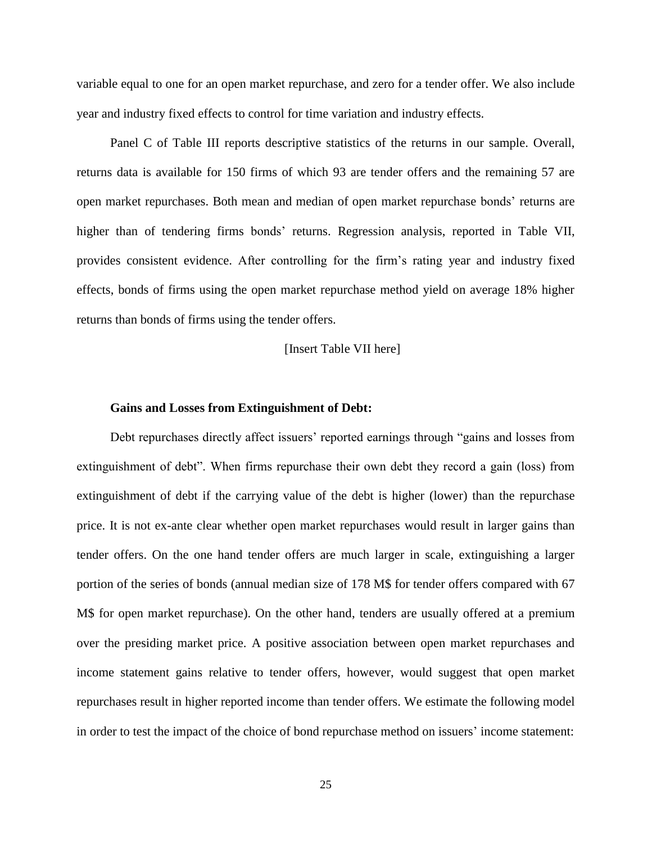variable equal to one for an open market repurchase, and zero for a tender offer. We also include year and industry fixed effects to control for time variation and industry effects.

Panel C of Table III reports descriptive statistics of the returns in our sample. Overall, returns data is available for 150 firms of which 93 are tender offers and the remaining 57 are open market repurchases. Both mean and median of open market repurchase bonds' returns are higher than of tendering firms bonds' returns. Regression analysis, reported in Table VII, provides consistent evidence. After controlling for the firm's rating year and industry fixed effects, bonds of firms using the open market repurchase method yield on average 18% higher returns than bonds of firms using the tender offers.

[Insert Table VII here]

#### **Gains and Losses from Extinguishment of Debt:**

Debt repurchases directly affect issuers' reported earnings through "gains and losses from extinguishment of debt". When firms repurchase their own debt they record a gain (loss) from extinguishment of debt if the carrying value of the debt is higher (lower) than the repurchase price. It is not ex-ante clear whether open market repurchases would result in larger gains than tender offers. On the one hand tender offers are much larger in scale, extinguishing a larger portion of the series of bonds (annual median size of 178 M\$ for tender offers compared with 67 M\$ for open market repurchase). On the other hand, tenders are usually offered at a premium over the presiding market price. A positive association between open market repurchases and income statement gains relative to tender offers, however, would suggest that open market repurchases result in higher reported income than tender offers. We estimate the following model in order to test the impact of the choice of bond repurchase method on issuers' income statement: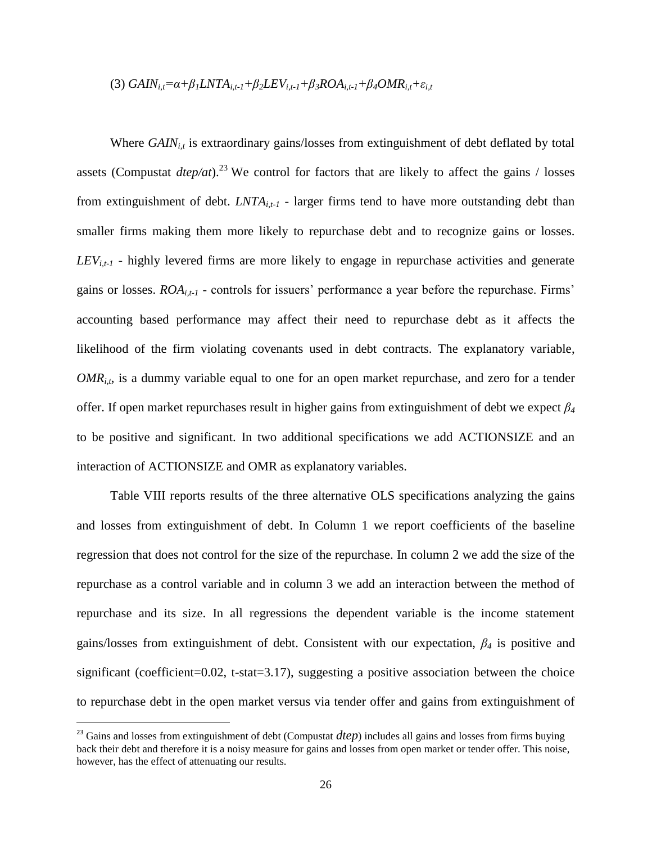(3) 
$$
GAIN_{i,t} = \alpha + \beta_1 LNTA_{i,t-1} + \beta_2 LEV_{i,t-1} + \beta_3 ROA_{i,t-1} + \beta_4 OMR_{i,t} + \varepsilon_{i,t}
$$

Where *GAIN<sub>it</sub>* is extraordinary gains/losses from extinguishment of debt deflated by total assets (Compustat  $dtep/at$ ).<sup>23</sup> We control for factors that are likely to affect the gains / losses from extinguishment of debt. *LNTAi,t-1* - larger firms tend to have more outstanding debt than smaller firms making them more likely to repurchase debt and to recognize gains or losses.  $LEV_{i,t-1}$  *-* highly levered firms are more likely to engage in repurchase activities and generate gains or losses. *ROAi,t-1* - controls for issuers' performance a year before the repurchase. Firms' accounting based performance may affect their need to repurchase debt as it affects the likelihood of the firm violating covenants used in debt contracts. The explanatory variable, *OMR*<sub>*i,t*</sub>, is a dummy variable equal to one for an open market repurchase, and zero for a tender offer. If open market repurchases result in higher gains from extinguishment of debt we expect *β<sup>4</sup>* to be positive and significant. In two additional specifications we add ACTIONSIZE and an interaction of ACTIONSIZE and OMR as explanatory variables.

Table VIII reports results of the three alternative OLS specifications analyzing the gains and losses from extinguishment of debt. In Column 1 we report coefficients of the baseline regression that does not control for the size of the repurchase. In column 2 we add the size of the repurchase as a control variable and in column 3 we add an interaction between the method of repurchase and its size. In all regressions the dependent variable is the income statement gains/losses from extinguishment of debt. Consistent with our expectation, *β<sup>4</sup>* is positive and significant (coefficient=0.02, t-stat=3.17), suggesting a positive association between the choice to repurchase debt in the open market versus via tender offer and gains from extinguishment of

 $\overline{a}$ 

 $^{23}$  Gains and losses from extinguishment of debt (Compustat  $dtep$ ) includes all gains and losses from firms buying back their debt and therefore it is a noisy measure for gains and losses from open market or tender offer. This noise, however, has the effect of attenuating our results.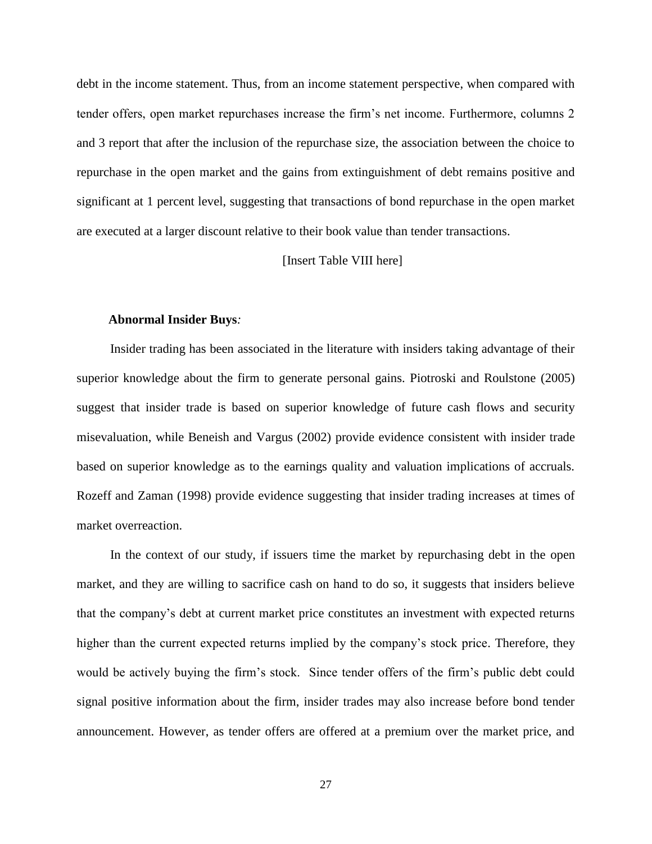debt in the income statement. Thus, from an income statement perspective, when compared with tender offers, open market repurchases increase the firm's net income. Furthermore, columns 2 and 3 report that after the inclusion of the repurchase size, the association between the choice to repurchase in the open market and the gains from extinguishment of debt remains positive and significant at 1 percent level, suggesting that transactions of bond repurchase in the open market are executed at a larger discount relative to their book value than tender transactions.

#### [Insert Table VIII here]

#### **Abnormal Insider Buys***:*

Insider trading has been associated in the literature with insiders taking advantage of their superior knowledge about the firm to generate personal gains. Piotroski and Roulstone (2005) suggest that insider trade is based on superior knowledge of future cash flows and security misevaluation, while Beneish and Vargus (2002) provide evidence consistent with insider trade based on superior knowledge as to the earnings quality and valuation implications of accruals. Rozeff and Zaman (1998) provide evidence suggesting that insider trading increases at times of market overreaction.

In the context of our study, if issuers time the market by repurchasing debt in the open market, and they are willing to sacrifice cash on hand to do so, it suggests that insiders believe that the company's debt at current market price constitutes an investment with expected returns higher than the current expected returns implied by the company's stock price. Therefore, they would be actively buying the firm's stock. Since tender offers of the firm's public debt could signal positive information about the firm, insider trades may also increase before bond tender announcement. However, as tender offers are offered at a premium over the market price, and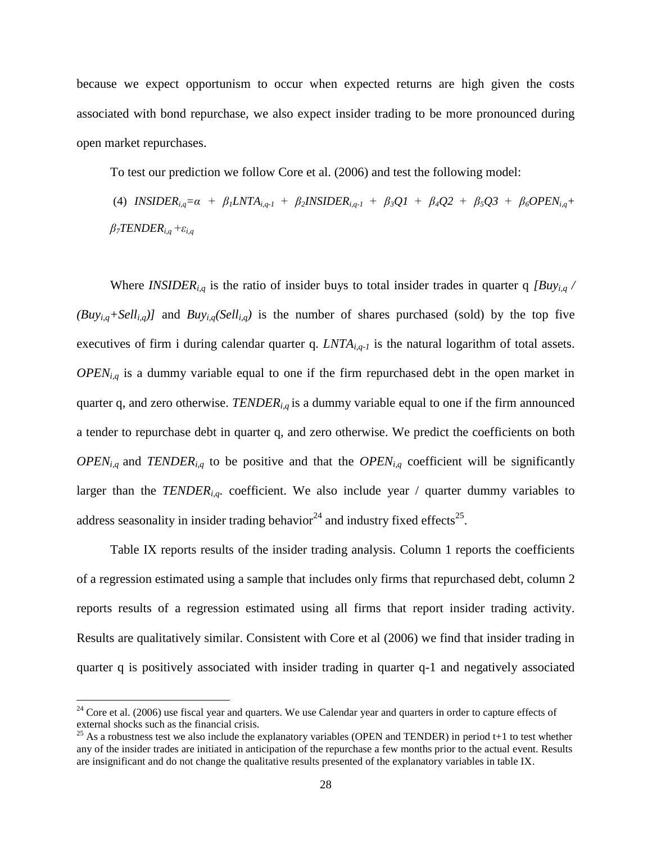because we expect opportunism to occur when expected returns are high given the costs associated with bond repurchase, we also expect insider trading to be more pronounced during open market repurchases.

To test our prediction we follow Core et al. (2006) and test the following model:

(4) INSIDER<sub>ig</sub>= $\alpha + \beta_1 LNTA_{i,q-1} + \beta_2 INSIDER_{i,q-1} + \beta_3 Q1 + \beta_4 Q2 + \beta_5 Q3 + \beta_6 OPEN_{i,q}$ + *β7TENDERi,q+εi,q*

Where *INSIDERi,q* is the ratio of insider buys to total insider trades in quarter q *[Buyi,q /*   $(Buy_{i,q} + Sell_{i,q})$  and  $Buy_{i,q}(Sell_{i,q})$  is the number of shares purchased (sold) by the top five executives of firm i during calendar quarter q. *LNTAi,q-1* is the natural logarithm of total assets. *OPENi,q* is a dummy variable equal to one if the firm repurchased debt in the open market in quarter q, and zero otherwise. *TENDERi,q* is a dummy variable equal to one if the firm announced a tender to repurchase debt in quarter q, and zero otherwise. We predict the coefficients on both  $OPEN_{i,q}$  and  $TENDER_{i,q}$  to be positive and that the  $OPEN_{i,q}$  coefficient will be significantly larger than the *TENDER*<sub>*i,q*</sub>*.* coefficient. We also include year / quarter dummy variables to address seasonality in insider trading behavior<sup>24</sup> and industry fixed effects<sup>25</sup>.

Table IX reports results of the insider trading analysis. Column 1 reports the coefficients of a regression estimated using a sample that includes only firms that repurchased debt, column 2 reports results of a regression estimated using all firms that report insider trading activity. Results are qualitatively similar. Consistent with Core et al (2006) we find that insider trading in quarter q is positively associated with insider trading in quarter q-1 and negatively associated

 $\overline{a}$ 

 $24$  Core et al. (2006) use fiscal year and quarters. We use Calendar year and quarters in order to capture effects of external shocks such as the financial crisis.

<sup>&</sup>lt;sup>25</sup> As a robustness test we also include the explanatory variables (OPEN and TENDER) in period t+1 to test whether any of the insider trades are initiated in anticipation of the repurchase a few months prior to the actual event. Results are insignificant and do not change the qualitative results presented of the explanatory variables in table IX.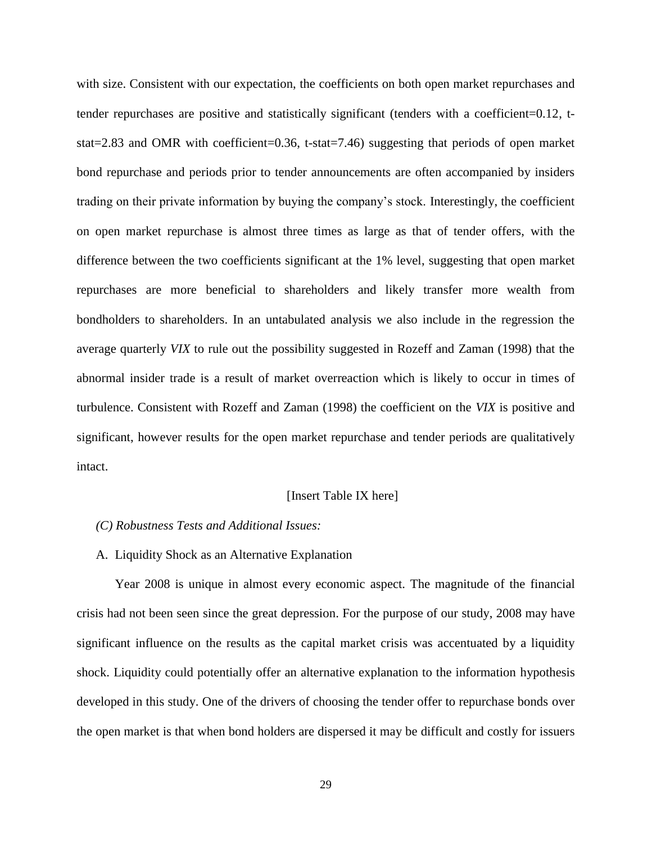with size. Consistent with our expectation, the coefficients on both open market repurchases and tender repurchases are positive and statistically significant (tenders with a coefficient=0.12, tstat=2.83 and OMR with coefficient=0.36, t-stat=7.46) suggesting that periods of open market bond repurchase and periods prior to tender announcements are often accompanied by insiders trading on their private information by buying the company's stock. Interestingly, the coefficient on open market repurchase is almost three times as large as that of tender offers, with the difference between the two coefficients significant at the 1% level, suggesting that open market repurchases are more beneficial to shareholders and likely transfer more wealth from bondholders to shareholders. In an untabulated analysis we also include in the regression the average quarterly *VIX* to rule out the possibility suggested in Rozeff and Zaman (1998) that the abnormal insider trade is a result of market overreaction which is likely to occur in times of turbulence. Consistent with Rozeff and Zaman (1998) the coefficient on the *VIX* is positive and significant, however results for the open market repurchase and tender periods are qualitatively intact.

#### [Insert Table IX here]

#### *(C) Robustness Tests and Additional Issues:*

#### A. Liquidity Shock as an Alternative Explanation

Year 2008 is unique in almost every economic aspect. The magnitude of the financial crisis had not been seen since the great depression. For the purpose of our study, 2008 may have significant influence on the results as the capital market crisis was accentuated by a liquidity shock. Liquidity could potentially offer an alternative explanation to the information hypothesis developed in this study. One of the drivers of choosing the tender offer to repurchase bonds over the open market is that when bond holders are dispersed it may be difficult and costly for issuers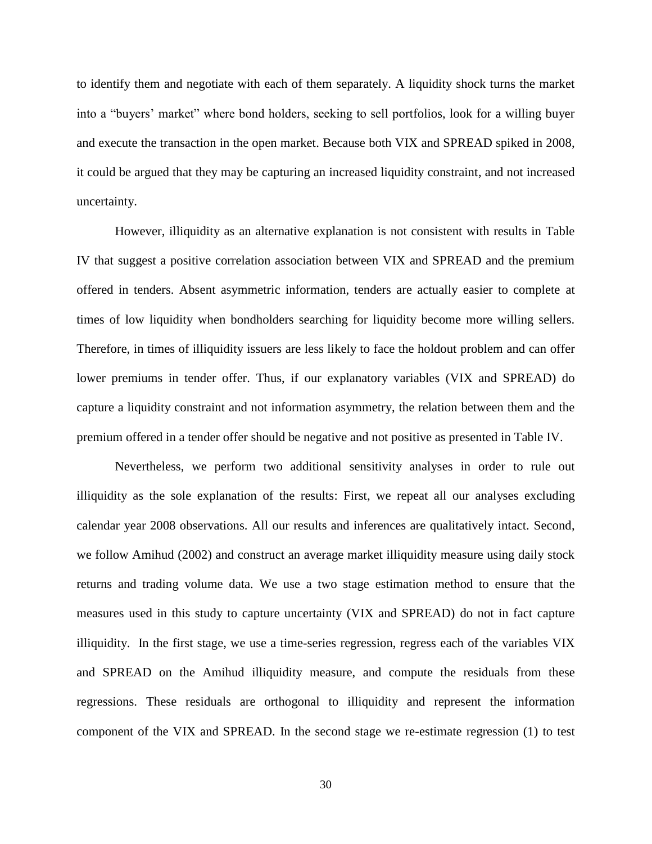to identify them and negotiate with each of them separately. A liquidity shock turns the market into a "buyers' market" where bond holders, seeking to sell portfolios, look for a willing buyer and execute the transaction in the open market. Because both VIX and SPREAD spiked in 2008, it could be argued that they may be capturing an increased liquidity constraint, and not increased uncertainty.

However, illiquidity as an alternative explanation is not consistent with results in Table IV that suggest a positive correlation association between VIX and SPREAD and the premium offered in tenders. Absent asymmetric information, tenders are actually easier to complete at times of low liquidity when bondholders searching for liquidity become more willing sellers. Therefore, in times of illiquidity issuers are less likely to face the holdout problem and can offer lower premiums in tender offer. Thus, if our explanatory variables (VIX and SPREAD) do capture a liquidity constraint and not information asymmetry, the relation between them and the premium offered in a tender offer should be negative and not positive as presented in Table IV.

Nevertheless, we perform two additional sensitivity analyses in order to rule out illiquidity as the sole explanation of the results: First, we repeat all our analyses excluding calendar year 2008 observations. All our results and inferences are qualitatively intact. Second, we follow Amihud (2002) and construct an average market illiquidity measure using daily stock returns and trading volume data. We use a two stage estimation method to ensure that the measures used in this study to capture uncertainty (VIX and SPREAD) do not in fact capture illiquidity. In the first stage, we use a time-series regression, regress each of the variables VIX and SPREAD on the Amihud illiquidity measure, and compute the residuals from these regressions. These residuals are orthogonal to illiquidity and represent the information component of the VIX and SPREAD. In the second stage we re-estimate regression (1) to test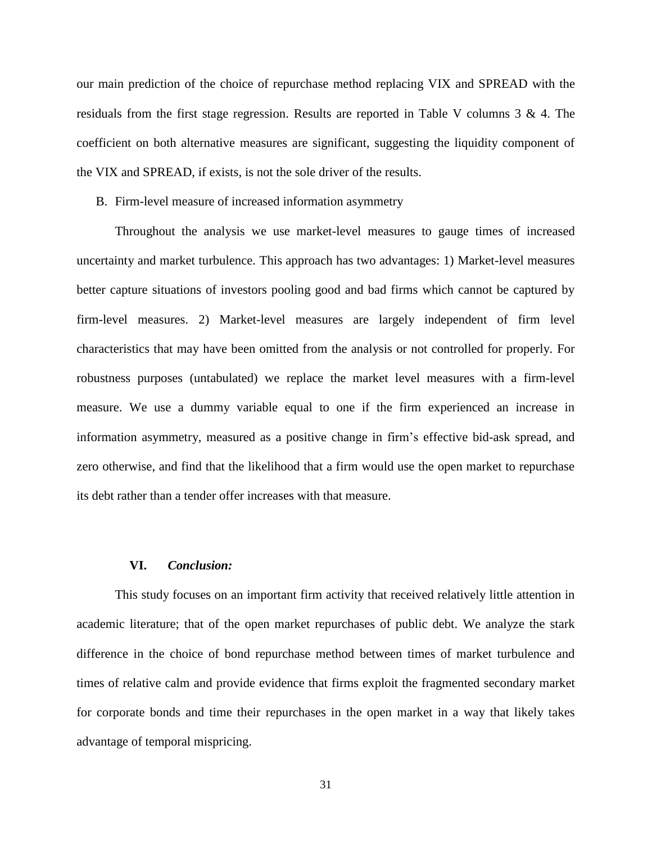our main prediction of the choice of repurchase method replacing VIX and SPREAD with the residuals from the first stage regression. Results are reported in Table V columns 3 & 4. The coefficient on both alternative measures are significant, suggesting the liquidity component of the VIX and SPREAD, if exists, is not the sole driver of the results.

B. Firm-level measure of increased information asymmetry

Throughout the analysis we use market-level measures to gauge times of increased uncertainty and market turbulence. This approach has two advantages: 1) Market-level measures better capture situations of investors pooling good and bad firms which cannot be captured by firm-level measures. 2) Market-level measures are largely independent of firm level characteristics that may have been omitted from the analysis or not controlled for properly. For robustness purposes (untabulated) we replace the market level measures with a firm-level measure. We use a dummy variable equal to one if the firm experienced an increase in information asymmetry, measured as a positive change in firm's effective bid-ask spread, and zero otherwise, and find that the likelihood that a firm would use the open market to repurchase its debt rather than a tender offer increases with that measure.

#### **VI.** *Conclusion:*

This study focuses on an important firm activity that received relatively little attention in academic literature; that of the open market repurchases of public debt. We analyze the stark difference in the choice of bond repurchase method between times of market turbulence and times of relative calm and provide evidence that firms exploit the fragmented secondary market for corporate bonds and time their repurchases in the open market in a way that likely takes advantage of temporal mispricing.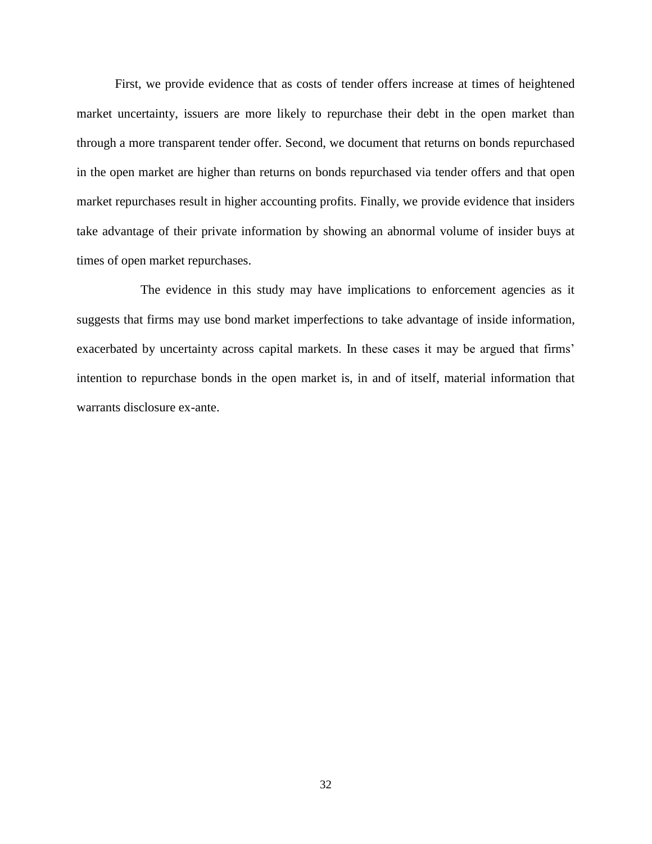First, we provide evidence that as costs of tender offers increase at times of heightened market uncertainty, issuers are more likely to repurchase their debt in the open market than through a more transparent tender offer. Second, we document that returns on bonds repurchased in the open market are higher than returns on bonds repurchased via tender offers and that open market repurchases result in higher accounting profits. Finally, we provide evidence that insiders take advantage of their private information by showing an abnormal volume of insider buys at times of open market repurchases.

 The evidence in this study may have implications to enforcement agencies as it suggests that firms may use bond market imperfections to take advantage of inside information, exacerbated by uncertainty across capital markets. In these cases it may be argued that firms' intention to repurchase bonds in the open market is, in and of itself, material information that warrants disclosure ex-ante.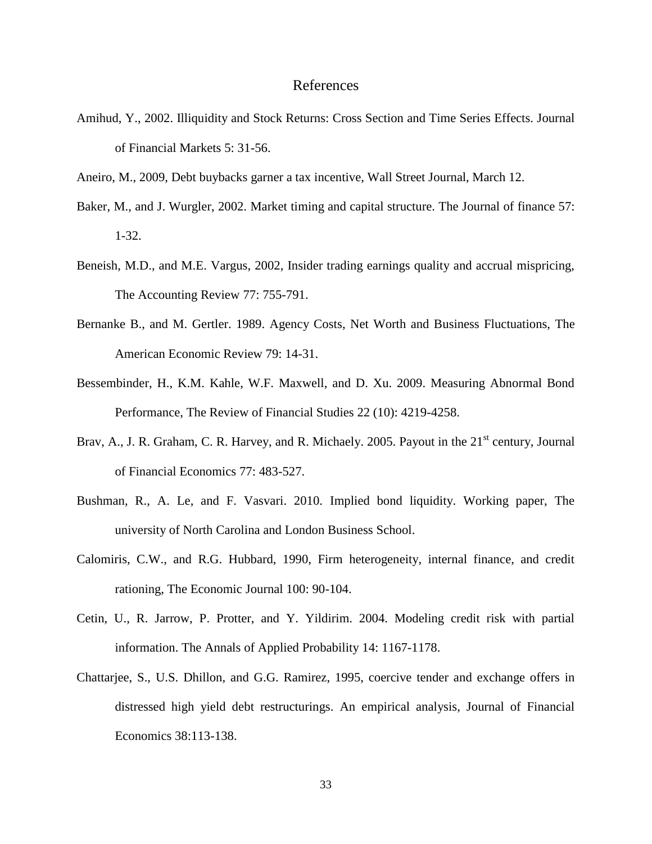#### References

- Amihud, Y., 2002. Illiquidity and Stock Returns: Cross Section and Time Series Effects. Journal of Financial Markets 5: 31-56.
- Aneiro, M., 2009, Debt buybacks garner a tax incentive, Wall Street Journal, March 12.
- Baker, M., and J. Wurgler, 2002. Market timing and capital structure. The Journal of finance 57: 1-32.
- Beneish, M.D., and M.E. Vargus, 2002, Insider trading earnings quality and accrual mispricing, The Accounting Review 77: 755-791.
- Bernanke B., and M. Gertler. 1989. Agency Costs, Net Worth and Business Fluctuations, The American Economic Review 79: 14-31.
- Bessembinder, H., K.M. Kahle, W.F. Maxwell, and D. Xu. 2009. Measuring Abnormal Bond Performance, The Review of Financial Studies 22 (10): 4219-4258.
- Brav, A., J. R. Graham, C. R. Harvey, and R. Michaely. 2005. Payout in the 21<sup>st</sup> century, Journal of Financial Economics 77: 483-527.
- Bushman, R., A. Le, and F. Vasvari. 2010. Implied bond liquidity. Working paper, The university of North Carolina and London Business School.
- Calomiris, C.W., and R.G. Hubbard, 1990, Firm heterogeneity, internal finance, and credit rationing, The Economic Journal 100: 90-104.
- Cetin, U., R. Jarrow, P. Protter, and Y. Yildirim. 2004. Modeling credit risk with partial information. The Annals of Applied Probability 14: 1167-1178.
- Chattarjee, S., U.S. Dhillon, and G.G. Ramirez, 1995, coercive tender and exchange offers in distressed high yield debt restructurings. An empirical analysis, Journal of Financial Economics 38:113-138.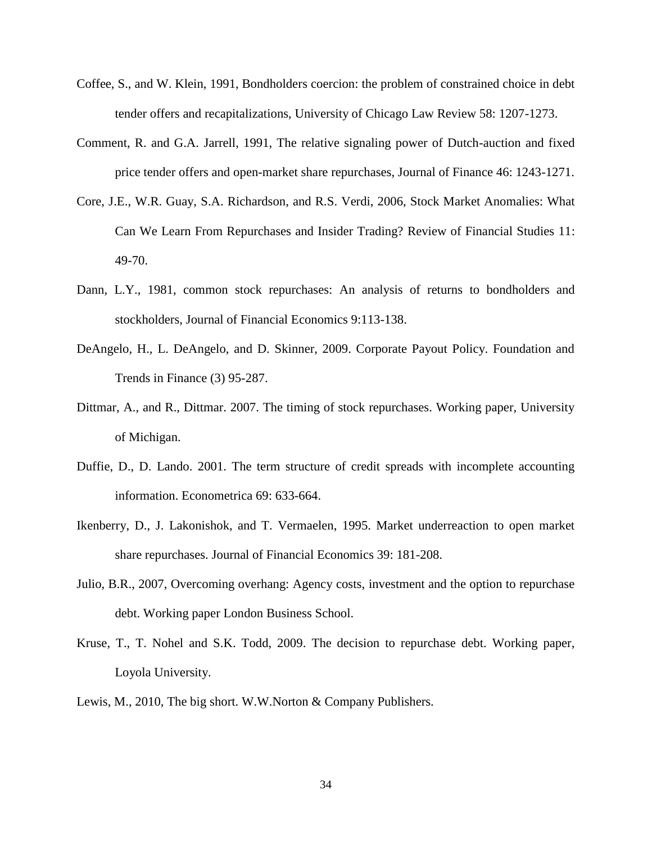- Coffee, S., and W. Klein, 1991, Bondholders coercion: the problem of constrained choice in debt tender offers and recapitalizations, University of Chicago Law Review 58: 1207-1273.
- Comment, R. and G.A. Jarrell, 1991, The relative signaling power of Dutch-auction and fixed price tender offers and open-market share repurchases, Journal of Finance 46: 1243-1271.
- Core, J.E., W.R. Guay, S.A. Richardson, and R.S. Verdi, 2006, Stock Market Anomalies: What Can We Learn From Repurchases and Insider Trading? Review of Financial Studies 11: 49-70.
- Dann, L.Y., 1981, common stock repurchases: An analysis of returns to bondholders and stockholders, Journal of Financial Economics 9:113-138.
- DeAngelo, H., L. DeAngelo, and D. Skinner, 2009. Corporate Payout Policy. Foundation and Trends in Finance (3) 95-287.
- Dittmar, A., and R., Dittmar. 2007. The timing of stock repurchases. Working paper, University of Michigan.
- Duffie, D., D. Lando. 2001. The term structure of credit spreads with incomplete accounting information. Econometrica 69: 633-664.
- Ikenberry, D., J. Lakonishok, and T. Vermaelen, 1995. Market underreaction to open market share repurchases. Journal of Financial Economics 39: 181-208.
- Julio, B.R., 2007, Overcoming overhang: Agency costs, investment and the option to repurchase debt. Working paper London Business School.
- Kruse, T., T. Nohel and S.K. Todd, 2009. The decision to repurchase debt. Working paper, Loyola University.
- Lewis, M., 2010, The big short. W.W.Norton & Company Publishers.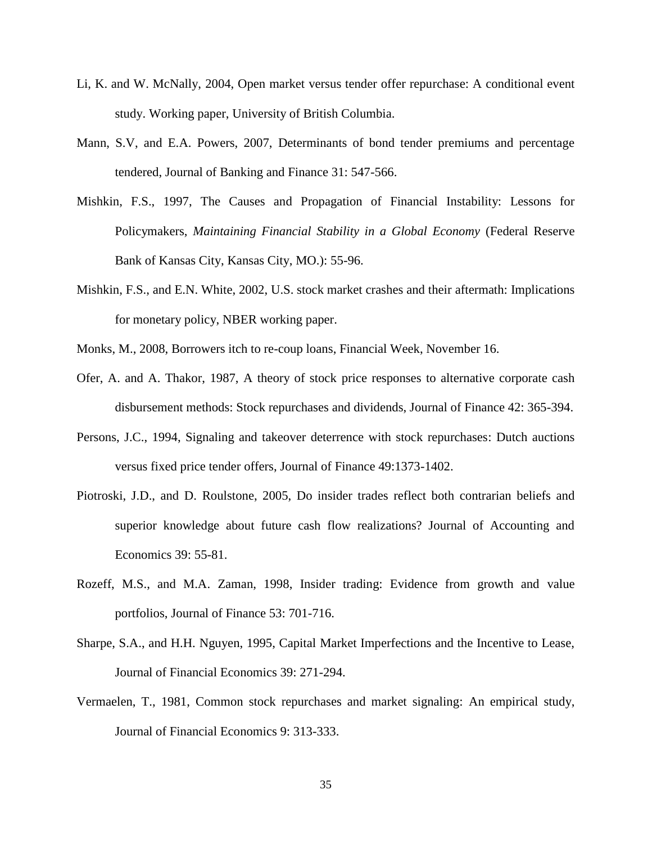- Li, K. and W. McNally, 2004, Open market versus tender offer repurchase: A conditional event study. Working paper, University of British Columbia.
- Mann, S.V, and E.A. Powers, 2007, Determinants of bond tender premiums and percentage tendered, Journal of Banking and Finance 31: 547-566.
- Mishkin, F.S., 1997, The Causes and Propagation of Financial Instability: Lessons for Policymakers, *Maintaining Financial Stability in a Global Economy* (Federal Reserve Bank of Kansas City, Kansas City, MO.): 55-96.
- Mishkin, F.S., and E.N. White, 2002, U.S. stock market crashes and their aftermath: Implications for monetary policy, NBER working paper.
- Monks, M., 2008, Borrowers itch to re-coup loans, Financial Week, November 16.
- Ofer, A. and A. Thakor, 1987, A theory of stock price responses to alternative corporate cash disbursement methods: Stock repurchases and dividends, Journal of Finance 42: 365-394.
- Persons, J.C., 1994, Signaling and takeover deterrence with stock repurchases: Dutch auctions versus fixed price tender offers, Journal of Finance 49:1373-1402.
- Piotroski, J.D., and D. Roulstone, 2005, Do insider trades reflect both contrarian beliefs and superior knowledge about future cash flow realizations? Journal of Accounting and Economics 39: 55-81.
- Rozeff, M.S., and M.A. Zaman, 1998, Insider trading: Evidence from growth and value portfolios, Journal of Finance 53: 701-716.
- Sharpe, S.A., and H.H. Nguyen, 1995, Capital Market Imperfections and the Incentive to Lease, Journal of Financial Economics 39: 271-294.
- Vermaelen, T., 1981, Common stock repurchases and market signaling: An empirical study, Journal of Financial Economics 9: 313-333.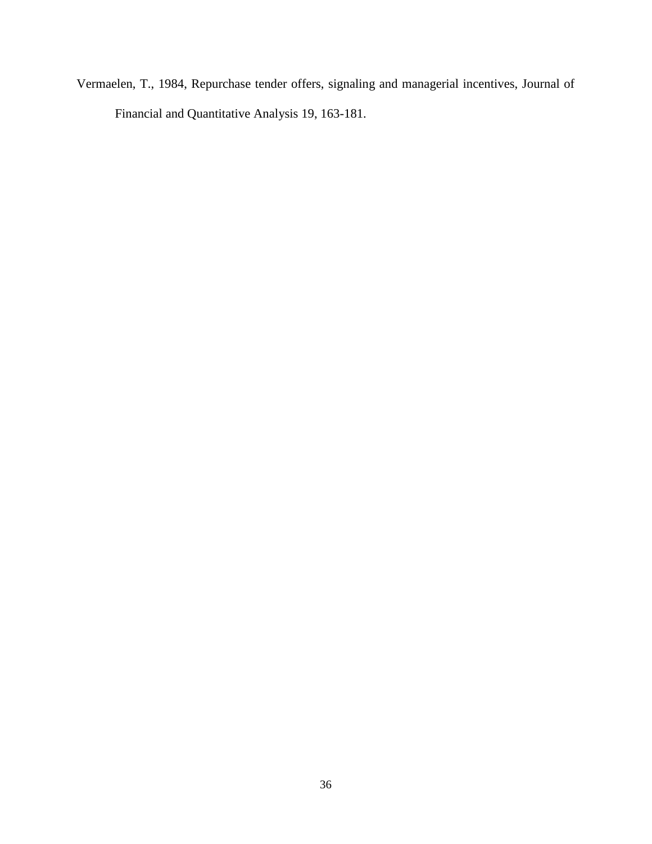Vermaelen, T., 1984, Repurchase tender offers, signaling and managerial incentives, Journal of Financial and Quantitative Analysis 19, 163-181.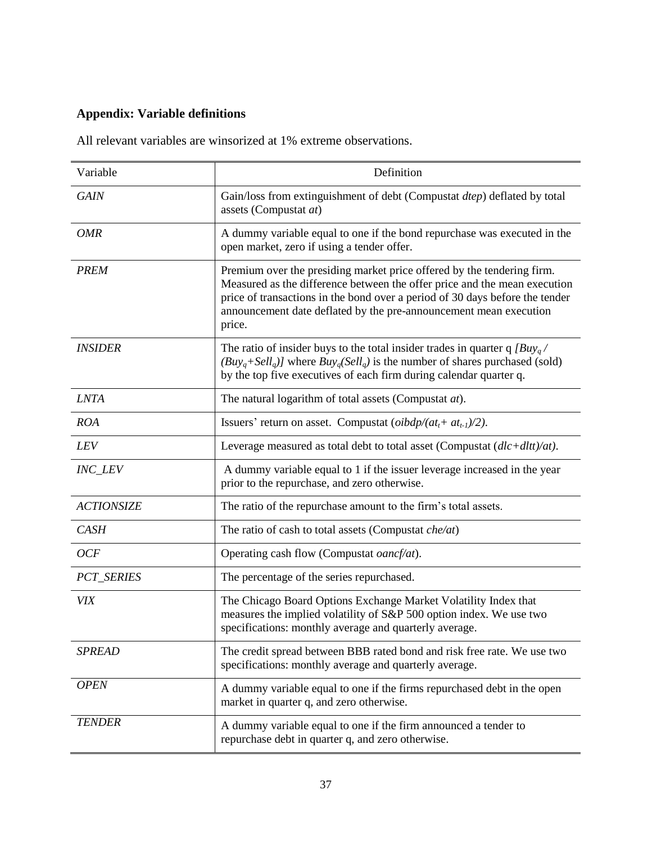## **Appendix: Variable definitions**

All relevant variables are winsorized at 1% extreme observations.

| Variable              | Definition                                                                                                                                                                                                                                                                                                         |
|-----------------------|--------------------------------------------------------------------------------------------------------------------------------------------------------------------------------------------------------------------------------------------------------------------------------------------------------------------|
| <b>GAIN</b>           | Gain/loss from extinguishment of debt (Compustat dtep) deflated by total<br>assets (Compustat at)                                                                                                                                                                                                                  |
| <i>OMR</i>            | A dummy variable equal to one if the bond repurchase was executed in the<br>open market, zero if using a tender offer.                                                                                                                                                                                             |
| <b>PREM</b>           | Premium over the presiding market price offered by the tendering firm.<br>Measured as the difference between the offer price and the mean execution<br>price of transactions in the bond over a period of 30 days before the tender<br>announcement date deflated by the pre-announcement mean execution<br>price. |
| <i><b>INSIDER</b></i> | The ratio of insider buys to the total insider trades in quarter q $\left\lceil Buy_a \right\rceil$<br>$(Buyq+Sellq)$ ] where $Buyq(Sellq)$ is the number of shares purchased (sold)<br>by the top five executives of each firm during calendar quarter q.                                                         |
| <b>LNTA</b>           | The natural logarithm of total assets (Compustat at).                                                                                                                                                                                                                                                              |
| <b>ROA</b>            | Issuers' return on asset. Compustat ( $oibdp/(at_t + at_{t-1})/2$ ).                                                                                                                                                                                                                                               |
| LEV                   | Leverage measured as total debt to total asset (Compustat $(dlc + dlt)/at$ ).                                                                                                                                                                                                                                      |
| <b>INC_LEV</b>        | A dummy variable equal to 1 if the issuer leverage increased in the year<br>prior to the repurchase, and zero otherwise.                                                                                                                                                                                           |
| <b>ACTIONSIZE</b>     | The ratio of the repurchase amount to the firm's total assets.                                                                                                                                                                                                                                                     |
| <b>CASH</b>           | The ratio of cash to total assets (Compustat $che/at)$                                                                                                                                                                                                                                                             |
| <b>OCF</b>            | Operating cash flow (Compustat oancf/at).                                                                                                                                                                                                                                                                          |
| PCT_SERIES            | The percentage of the series repurchased.                                                                                                                                                                                                                                                                          |
| VIX                   | The Chicago Board Options Exchange Market Volatility Index that<br>measures the implied volatility of S&P 500 option index. We use two<br>specifications: monthly average and quarterly average.                                                                                                                   |
| <b>SPREAD</b>         | The credit spread between BBB rated bond and risk free rate. We use two<br>specifications: monthly average and quarterly average.                                                                                                                                                                                  |
| <b>OPEN</b>           | A dummy variable equal to one if the firms repurchased debt in the open<br>market in quarter q, and zero otherwise.                                                                                                                                                                                                |
| <b>TENDER</b>         | A dummy variable equal to one if the firm announced a tender to<br>repurchase debt in quarter q, and zero otherwise.                                                                                                                                                                                               |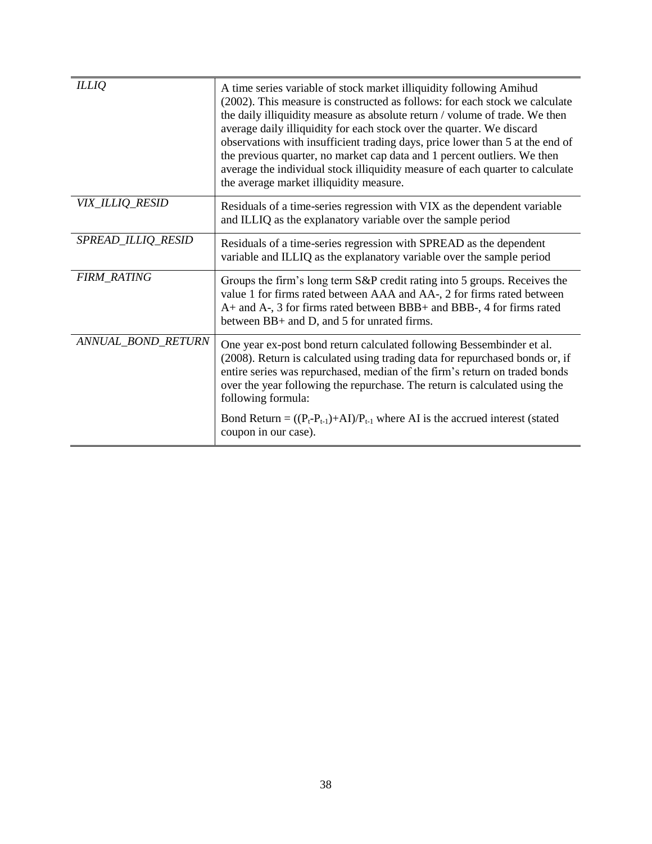| <b>ILLIQ</b>       | A time series variable of stock market illiquidity following Amihud<br>(2002). This measure is constructed as follows: for each stock we calculate<br>the daily illiquidity measure as absolute return / volume of trade. We then<br>average daily illiquidity for each stock over the quarter. We discard<br>observations with insufficient trading days, price lower than 5 at the end of<br>the previous quarter, no market cap data and 1 percent outliers. We then<br>average the individual stock illiquidity measure of each quarter to calculate<br>the average market illiquidity measure. |
|--------------------|-----------------------------------------------------------------------------------------------------------------------------------------------------------------------------------------------------------------------------------------------------------------------------------------------------------------------------------------------------------------------------------------------------------------------------------------------------------------------------------------------------------------------------------------------------------------------------------------------------|
| VIX_ILLIQ_RESID    | Residuals of a time-series regression with VIX as the dependent variable<br>and ILLIQ as the explanatory variable over the sample period                                                                                                                                                                                                                                                                                                                                                                                                                                                            |
| SPREAD_ILLIQ_RESID | Residuals of a time-series regression with SPREAD as the dependent<br>variable and ILLIQ as the explanatory variable over the sample period                                                                                                                                                                                                                                                                                                                                                                                                                                                         |
| <b>FIRM_RATING</b> | Groups the firm's long term S&P credit rating into 5 groups. Receives the<br>value 1 for firms rated between AAA and AA-, 2 for firms rated between<br>A+ and A-, 3 for firms rated between BBB+ and BBB-, 4 for firms rated<br>between BB+ and D, and 5 for unrated firms.                                                                                                                                                                                                                                                                                                                         |
| ANNUAL_BOND_RETURN | One year ex-post bond return calculated following Bessembinder et al.<br>(2008). Return is calculated using trading data for repurchased bonds or, if<br>entire series was repurchased, median of the firm's return on traded bonds<br>over the year following the repurchase. The return is calculated using the<br>following formula:                                                                                                                                                                                                                                                             |
|                    | Bond Return = $((P_t - P_{t-1}) + AI)/P_{t-1}$ where AI is the accrued interest (stated<br>coupon in our case).                                                                                                                                                                                                                                                                                                                                                                                                                                                                                     |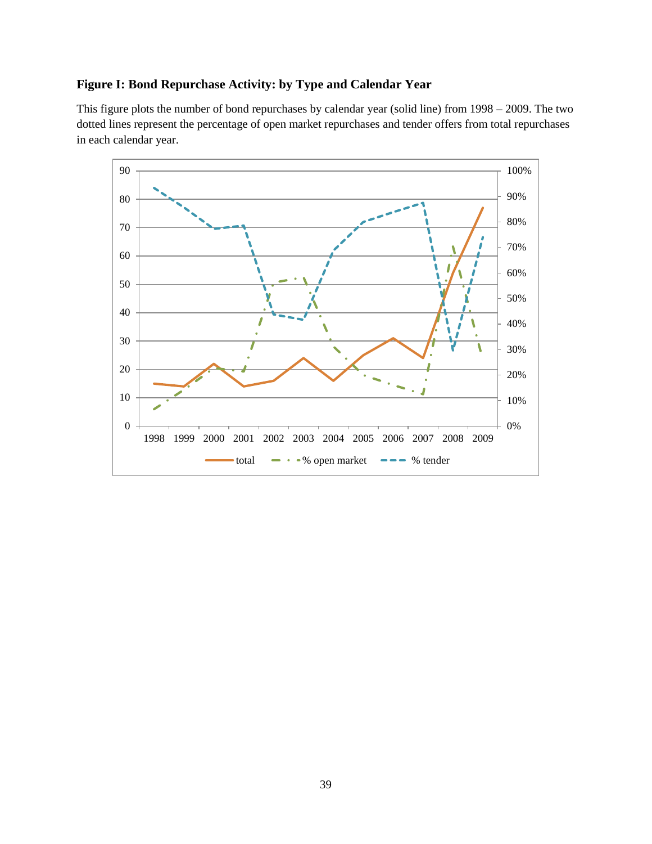### **Figure I: Bond Repurchase Activity: by Type and Calendar Year**

This figure plots the number of bond repurchases by calendar year (solid line) from 1998 – 2009. The two dotted lines represent the percentage of open market repurchases and tender offers from total repurchases in each calendar year.

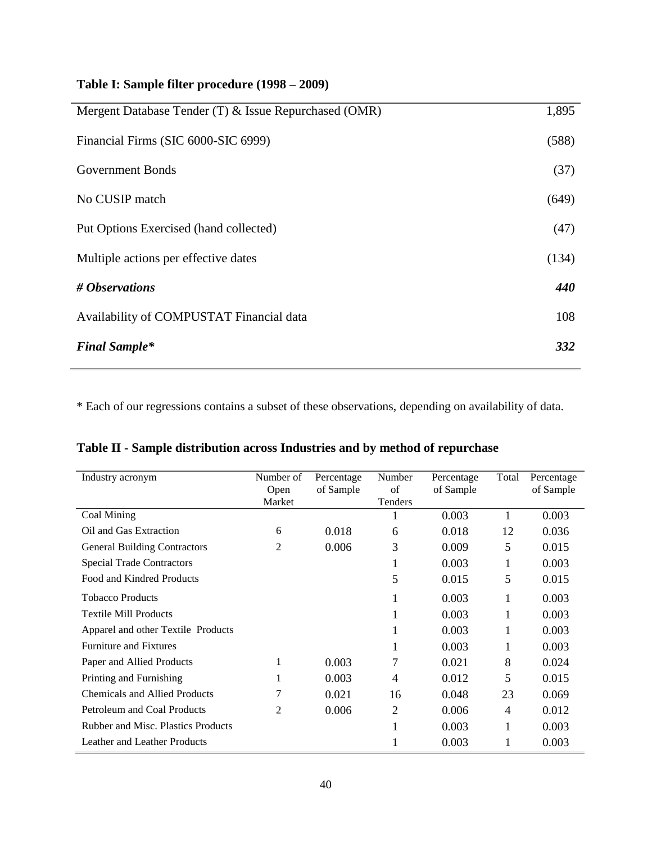## **Table I: Sample filter procedure (1998 – 2009)**

| Mergent Database Tender (T) & Issue Repurchased (OMR) | 1,895 |
|-------------------------------------------------------|-------|
| Financial Firms (SIC 6000-SIC 6999)                   | (588) |
| <b>Government Bonds</b>                               | (37)  |
| No CUSIP match                                        | (649) |
| Put Options Exercised (hand collected)                | (47)  |
| Multiple actions per effective dates                  | (134) |
| # Observations                                        | 440   |
| Availability of COMPUSTAT Financial data              | 108   |
| <b>Final Sample*</b>                                  | 332   |

\* Each of our regressions contains a subset of these observations, depending on availability of data.

| Table II - Sample distribution across Industries and by method of repurchase |  |
|------------------------------------------------------------------------------|--|
|                                                                              |  |

| Industry acronym                     | Number of      | Percentage | Number         | Percentage | Total          | Percentage |
|--------------------------------------|----------------|------------|----------------|------------|----------------|------------|
|                                      | Open<br>Market | of Sample  | of<br>Tenders  | of Sample  |                | of Sample  |
| Coal Mining                          |                |            |                | 0.003      |                | 0.003      |
| Oil and Gas Extraction               | 6              | 0.018      | 6              | 0.018      | 12             | 0.036      |
| <b>General Building Contractors</b>  | 2              | 0.006      | 3              | 0.009      | 5              | 0.015      |
| <b>Special Trade Contractors</b>     |                |            | T              | 0.003      |                | 0.003      |
| Food and Kindred Products            |                |            | 5              | 0.015      | 5              | 0.015      |
| <b>Tobacco Products</b>              |                |            | 1              | 0.003      | 1              | 0.003      |
| <b>Textile Mill Products</b>         |                |            |                | 0.003      |                | 0.003      |
| Apparel and other Textile Products   |                |            |                | 0.003      | 1              | 0.003      |
| <b>Furniture and Fixtures</b>        |                |            |                | 0.003      |                | 0.003      |
| Paper and Allied Products            |                | 0.003      |                | 0.021      | 8              | 0.024      |
| Printing and Furnishing              |                | 0.003      | $\overline{4}$ | 0.012      | 5              | 0.015      |
| <b>Chemicals and Allied Products</b> | 7              | 0.021      | 16             | 0.048      | 23             | 0.069      |
| Petroleum and Coal Products          | 2              | 0.006      | 2              | 0.006      | $\overline{4}$ | 0.012      |
| Rubber and Misc. Plastics Products   |                |            |                | 0.003      | 1              | 0.003      |
| Leather and Leather Products         |                |            |                | 0.003      |                | 0.003      |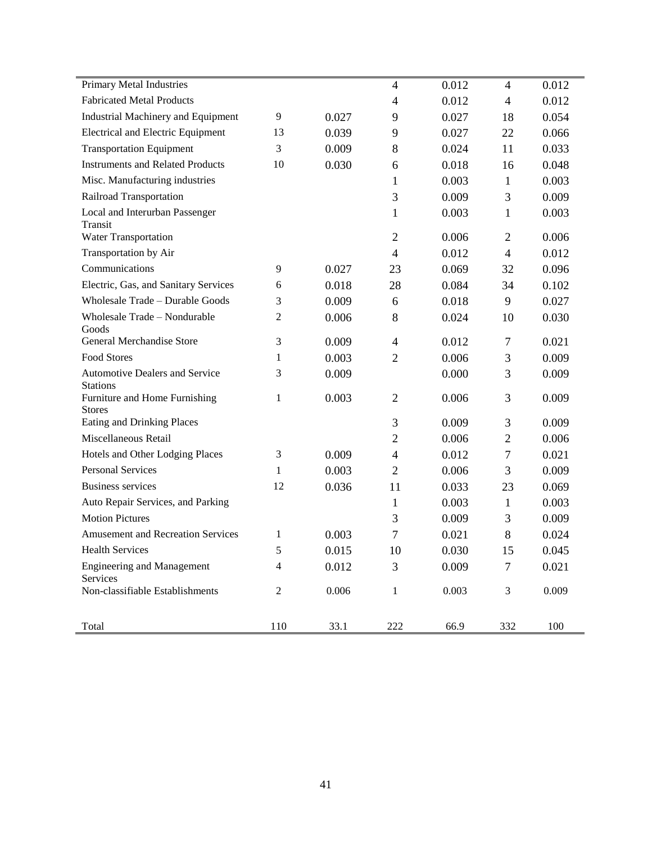| Primary Metal Industries                                 |                |       | $\overline{4}$ | 0.012 | $\overline{4}$ | 0.012 |
|----------------------------------------------------------|----------------|-------|----------------|-------|----------------|-------|
| <b>Fabricated Metal Products</b>                         |                |       | $\overline{4}$ | 0.012 | $\overline{4}$ | 0.012 |
| <b>Industrial Machinery and Equipment</b>                | 9              | 0.027 | 9              | 0.027 | 18             | 0.054 |
| <b>Electrical and Electric Equipment</b>                 | 13             | 0.039 | 9              | 0.027 | 22             | 0.066 |
| <b>Transportation Equipment</b>                          | 3              | 0.009 | 8              | 0.024 | 11             | 0.033 |
| <b>Instruments and Related Products</b>                  | 10             | 0.030 | 6              | 0.018 | 16             | 0.048 |
| Misc. Manufacturing industries                           |                |       | 1              | 0.003 | $\mathbf{1}$   | 0.003 |
| Railroad Transportation                                  |                |       | 3              | 0.009 | 3              | 0.009 |
| Local and Interurban Passenger<br>Transit                |                |       | 1              | 0.003 | $\mathbf{1}$   | 0.003 |
| Water Transportation                                     |                |       | $\overline{2}$ | 0.006 | $\overline{2}$ | 0.006 |
| Transportation by Air                                    |                |       | $\overline{4}$ | 0.012 | $\overline{4}$ | 0.012 |
| Communications                                           | 9              | 0.027 | 23             | 0.069 | 32             | 0.096 |
| Electric, Gas, and Sanitary Services                     | 6              | 0.018 | 28             | 0.084 | 34             | 0.102 |
| Wholesale Trade - Durable Goods                          | 3              | 0.009 | 6              | 0.018 | 9              | 0.027 |
| Wholesale Trade - Nondurable<br>Goods                    | 2              | 0.006 | 8              | 0.024 | 10             | 0.030 |
| General Merchandise Store                                | 3              | 0.009 | $\overline{4}$ | 0.012 | 7              | 0.021 |
| Food Stores                                              | 1              | 0.003 | $\overline{2}$ | 0.006 | 3              | 0.009 |
| <b>Automotive Dealers and Service</b><br><b>Stations</b> | 3              | 0.009 |                | 0.000 | 3              | 0.009 |
| Furniture and Home Furnishing<br><b>Stores</b>           | $\mathbf{1}$   | 0.003 | $\overline{2}$ | 0.006 | 3              | 0.009 |
| <b>Eating and Drinking Places</b>                        |                |       | 3              | 0.009 | 3              | 0.009 |
| Miscellaneous Retail                                     |                |       | $\overline{2}$ | 0.006 | $\overline{2}$ | 0.006 |
| Hotels and Other Lodging Places                          | 3              | 0.009 | $\overline{4}$ | 0.012 | $\tau$         | 0.021 |
| <b>Personal Services</b>                                 | 1              | 0.003 | $\overline{2}$ | 0.006 | 3              | 0.009 |
| <b>Business services</b>                                 | 12             | 0.036 | 11             | 0.033 | 23             | 0.069 |
| Auto Repair Services, and Parking                        |                |       | 1              | 0.003 | $\mathbf{1}$   | 0.003 |
| <b>Motion Pictures</b>                                   |                |       | 3              | 0.009 | 3              | 0.009 |
| <b>Amusement and Recreation Services</b>                 | 1              | 0.003 | 7              | 0.021 | 8              | 0.024 |
| <b>Health Services</b>                                   | 5              | 0.015 | 10             | 0.030 | 15             | 0.045 |
| <b>Engineering and Management</b><br>Services            | 4              | 0.012 | 3              | 0.009 | $\tau$         | 0.021 |
| Non-classifiable Establishments                          | $\overline{c}$ | 0.006 | $\mathbf{1}$   | 0.003 | $\mathfrak 3$  | 0.009 |
| Total                                                    | 110            | 33.1  | 222            | 66.9  | 332            | 100   |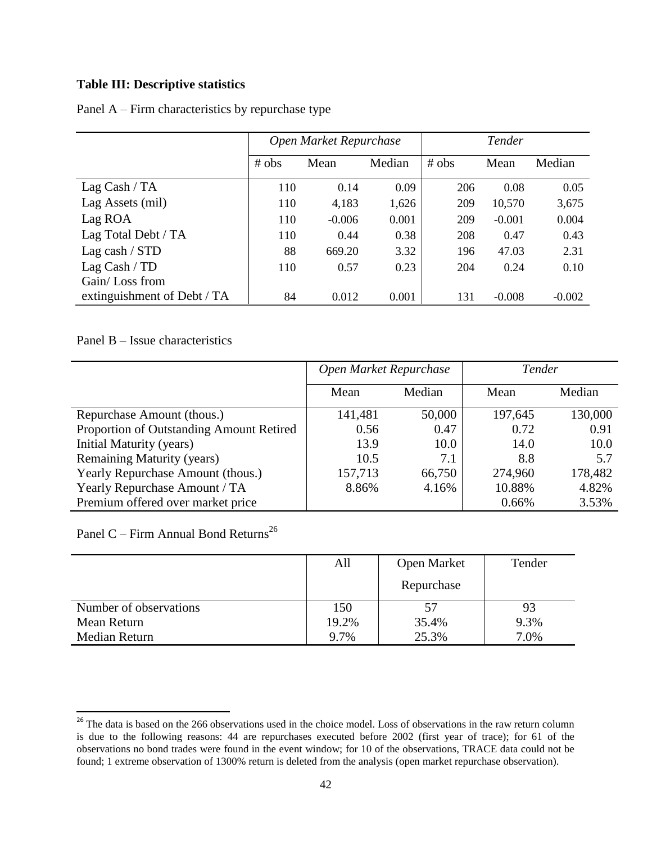### **Table III: Descriptive statistics**

|                             | Open Market Repurchase |          |        | Tender |          |          |
|-----------------------------|------------------------|----------|--------|--------|----------|----------|
|                             | # obs                  | Mean     | Median | # obs  | Mean     | Median   |
| Lag Cash / $TA$             | 110                    | 0.14     | 0.09   | 206    | 0.08     | 0.05     |
| Lag Assets (mil)            | 110                    | 4,183    | 1,626  | 209    | 10,570   | 3,675    |
| Lag ROA                     | 110                    | $-0.006$ | 0.001  | 209    | $-0.001$ | 0.004    |
| Lag Total Debt / TA         | 110                    | 0.44     | 0.38   | 208    | 0.47     | 0.43     |
| Lag cash / STD              | 88                     | 669.20   | 3.32   | 196    | 47.03    | 2.31     |
| Lag Cash / TD               | 110                    | 0.57     | 0.23   | 204    | 0.24     | 0.10     |
| Gain/Loss from              |                        |          |        |        |          |          |
| extinguishment of Debt / TA | 84                     | 0.012    | 0.001  | 131    | $-0.008$ | $-0.002$ |

Panel A – Firm characteristics by repurchase type

Panel B – Issue characteristics

|                                          | Open Market Repurchase |        | Tender  |         |
|------------------------------------------|------------------------|--------|---------|---------|
|                                          | Mean                   | Median | Mean    | Median  |
| Repurchase Amount (thous.)               | 141,481                | 50,000 | 197,645 | 130,000 |
| Proportion of Outstanding Amount Retired | 0.56                   | 0.47   | 0.72    | 0.91    |
| <b>Initial Maturity (years)</b>          | 13.9                   | 10.0   | 14.0    | 10.0    |
| <b>Remaining Maturity (years)</b>        | 10.5                   | 7.1    | 8.8     | 5.7     |
| Yearly Repurchase Amount (thous.)        | 157,713                | 66,750 | 274,960 | 178,482 |
| Yearly Repurchase Amount / TA            | 8.86%                  | 4.16%  | 10.88%  | 4.82%   |
| Premium offered over market price        |                        |        | 0.66%   | 3.53%   |

Panel C – Firm Annual Bond Returns<sup>26</sup>

 $\overline{\phantom{a}}$ 

|                        | All   | Open Market | Tender |
|------------------------|-------|-------------|--------|
|                        |       | Repurchase  |        |
| Number of observations | 150   |             | 93     |
| Mean Return            | 19.2% | 35.4%       | 9.3%   |
| Median Return          | 9.7%  | 25.3%       | 7.0%   |

<sup>&</sup>lt;sup>26</sup> The data is based on the 266 observations used in the choice model. Loss of observations in the raw return column is due to the following reasons: 44 are repurchases executed before 2002 (first year of trace); for 61 of the observations no bond trades were found in the event window; for 10 of the observations, TRACE data could not be found; 1 extreme observation of 1300% return is deleted from the analysis (open market repurchase observation).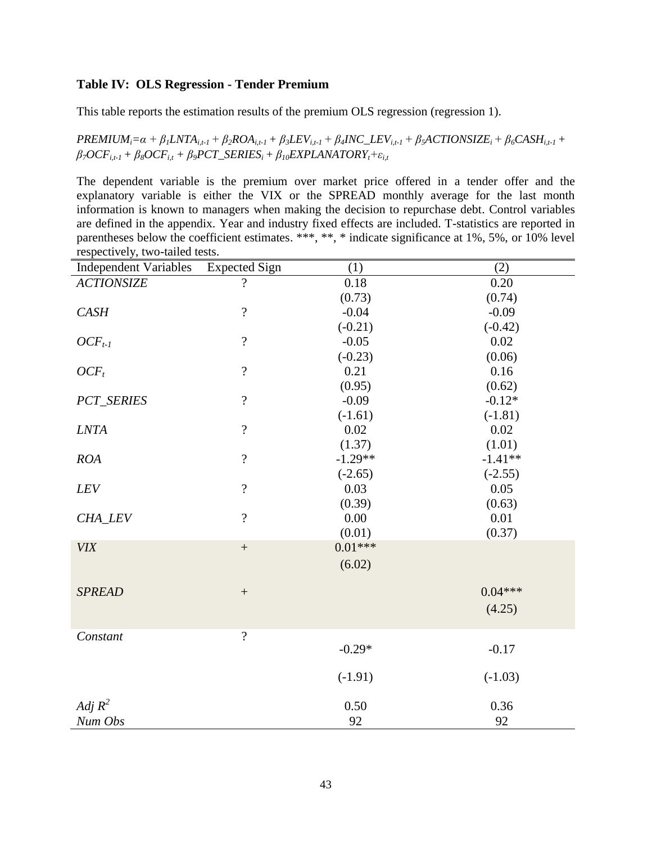#### **Table IV: OLS Regression - Tender Premium**

This table reports the estimation results of the premium OLS regression (regression 1).

 $PREMIUM_i = \alpha + \beta_1 LNTA_{i,t-1} + \beta_2 ROA_{i,t-1} + \beta_3 LEV_{i,t-1} + \beta_4 INC\_LEV_{i,t-1} + \beta_5 ACTIONSIZE_i + \beta_6 CASH_{i,t-1} +$  $\beta$ <sup>7</sup></del>*OCF***<sub>***i***</sub>***t***<sub>+</sub>***+* $\beta$ **<sup>***8***</sup><b>***OCF***<sub>***i***</sub>***t* +  $\beta$ <sup>*9*</sup>*PCT\_SERIES<sub>i</sub></sub>* **+**  $\beta$ **<sub>***10</sub>EXPLANATORY<sub><i>t***</sub>+** $\varepsilon$ **<sub>***it***</sub></sub>**</sub>

The dependent variable is the premium over market price offered in a tender offer and the explanatory variable is either the VIX or the SPREAD monthly average for the last month information is known to managers when making the decision to repurchase debt. Control variables are defined in the appendix. Year and industry fixed effects are included. T-statistics are reported in parentheses below the coefficient estimates. \*\*\*, \*\*, \* indicate significance at 1%, 5%, or 10% level respectively, two-tailed tests.

| <b>Independent Variables</b> | <b>Expected Sign</b>     | (1)       | (2)       |
|------------------------------|--------------------------|-----------|-----------|
| <b>ACTIONSIZE</b>            | $\overline{\mathcal{L}}$ | 0.18      | 0.20      |
|                              |                          | (0.73)    | (0.74)    |
| <b>CASH</b>                  | $\overline{\mathcal{L}}$ | $-0.04$   | $-0.09$   |
|                              |                          | $(-0.21)$ | $(-0.42)$ |
| $OCF_{t-1}$                  | $\overline{\mathcal{L}}$ | $-0.05$   | 0.02      |
|                              |                          | $(-0.23)$ | (0.06)    |
| $OCF_t$                      | $\overline{?}$           | 0.21      | 0.16      |
|                              |                          | (0.95)    | (0.62)    |
| <b>PCT_SERIES</b>            | $\overline{\mathcal{L}}$ | $-0.09$   | $-0.12*$  |
|                              |                          | $(-1.61)$ | $(-1.81)$ |
| <b>LNTA</b>                  | $\overline{\mathcal{L}}$ | 0.02      | 0.02      |
|                              |                          | (1.37)    | (1.01)    |
| <b>ROA</b>                   | $\overline{\mathcal{L}}$ | $-1.29**$ | $-1.41**$ |
|                              |                          | $(-2.65)$ | $(-2.55)$ |
| LEV                          | $\overline{\mathcal{L}}$ | 0.03      | 0.05      |
|                              |                          | (0.39)    | (0.63)    |
| CHA_LEV                      | $\overline{\mathcal{L}}$ | 0.00      | 0.01      |
|                              |                          | (0.01)    | (0.37)    |
| <b>VIX</b>                   | $\qquad \qquad +$        | $0.01***$ |           |
|                              |                          | (6.02)    |           |
| <b>SPREAD</b>                | $\boldsymbol{+}$         |           | $0.04***$ |
|                              |                          |           |           |
|                              |                          |           | (4.25)    |
| Constant                     | $\overline{?}$           |           |           |
|                              |                          | $-0.29*$  | $-0.17$   |
|                              |                          | $(-1.91)$ | $(-1.03)$ |
|                              |                          |           |           |
| Adj $R^2$                    |                          | 0.50      | 0.36      |
| Num Obs                      |                          | 92        | 92        |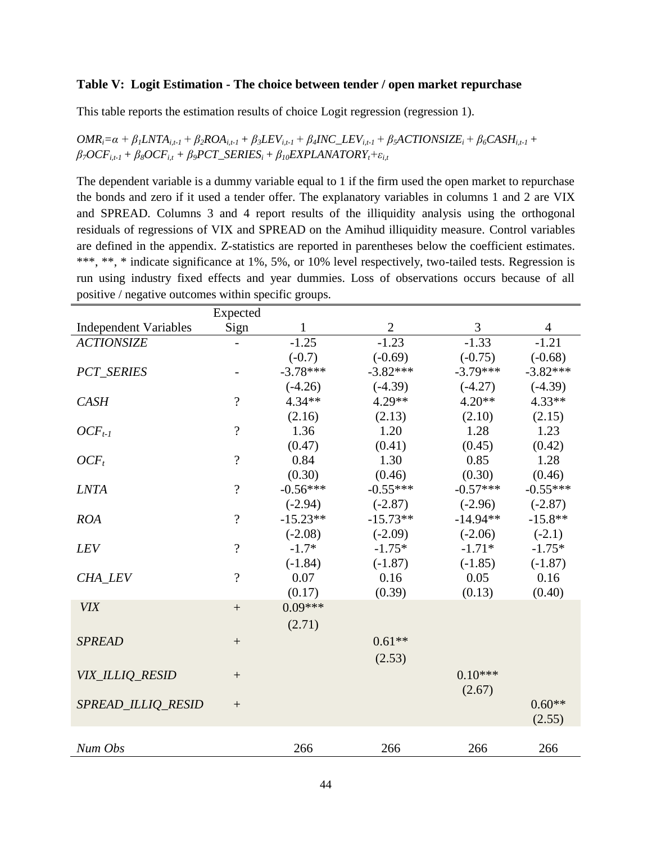#### **Table V: Logit Estimation - The choice between tender / open market repurchase**

This table reports the estimation results of choice Logit regression (regression 1).

 $OMR_i = \alpha + \beta_1 LNTA_{i,t-1} + \beta_2 ROA_{i,t-1} + \beta_3 LEV_{i,t-1} + \beta_4 INC\_LEV_{i,t-1} + \beta_5 ACTIONSIZE_i + \beta_6 CASH_{i,t-1} +$  $\beta$ <sub>7</sub>OCF<sub>*i,t-1*</sub> +  $\beta$ <sub>8</sub>OCF<sub>*i,t*</sub> +  $\beta$ <sub>9</sub>PCT\_SERIES<sub>*i*</sub></sub> +  $\beta$ <sub>10</sub>EXPLANATORY<sub>*t*</sub>+ $\varepsilon$ <sub>*i,t*</sub>

The dependent variable is a dummy variable equal to 1 if the firm used the open market to repurchase the bonds and zero if it used a tender offer. The explanatory variables in columns 1 and 2 are VIX and SPREAD. Columns 3 and 4 report results of the illiquidity analysis using the orthogonal residuals of regressions of VIX and SPREAD on the Amihud illiquidity measure. Control variables are defined in the appendix. Z-statistics are reported in parentheses below the coefficient estimates. \*\*\*, \*\*, \* indicate significance at 1%, 5%, or 10% level respectively, two-tailed tests. Regression is run using industry fixed effects and year dummies. Loss of observations occurs because of all positive / negative outcomes within specific groups.

|                              | Expected                 |            |              |            |            |
|------------------------------|--------------------------|------------|--------------|------------|------------|
| <b>Independent Variables</b> | Sign                     | 1          | $\mathbf{2}$ | 3          | 4          |
| <b>ACTIONSIZE</b>            |                          | $-1.25$    | $-1.23$      | $-1.33$    | $-1.21$    |
|                              |                          | $(-0.7)$   | $(-0.69)$    | $(-0.75)$  | $(-0.68)$  |
| <b>PCT_SERIES</b>            |                          | $-3.78***$ | $-3.82***$   | $-3.79***$ | $-3.82***$ |
|                              |                          | $(-4.26)$  | $(-4.39)$    | $(-4.27)$  | $(-4.39)$  |
| <b>CASH</b>                  | $\overline{\mathcal{L}}$ | $4.34**$   | $4.29**$     | $4.20**$   | $4.33**$   |
|                              |                          | (2.16)     | (2.13)       | (2.10)     | (2.15)     |
| $OCF_{t-1}$                  | $\overline{\mathcal{L}}$ | 1.36       | 1.20         | 1.28       | 1.23       |
|                              |                          | (0.47)     | (0.41)       | (0.45)     | (0.42)     |
| $OCF_t$                      | $\overline{\mathcal{L}}$ | 0.84       | 1.30         | 0.85       | 1.28       |
|                              |                          | (0.30)     | (0.46)       | (0.30)     | (0.46)     |
| <b>LNTA</b>                  | $\overline{\mathcal{L}}$ | $-0.56***$ | $-0.55***$   | $-0.57***$ | $-0.55***$ |
|                              |                          | $(-2.94)$  | $(-2.87)$    | $(-2.96)$  | $(-2.87)$  |
| <b>ROA</b>                   | $\overline{?}$           | $-15.23**$ | $-15.73**$   | $-14.94**$ | $-15.8**$  |
|                              |                          | $(-2.08)$  | $(-2.09)$    | $(-2.06)$  | $(-2.1)$   |
| <b>LEV</b>                   | $\overline{\mathcal{L}}$ | $-1.7*$    | $-1.75*$     | $-1.71*$   | $-1.75*$   |
|                              |                          | $(-1.84)$  | $(-1.87)$    | $(-1.85)$  | $(-1.87)$  |
| CHA_LEV                      | $\overline{\mathcal{L}}$ | 0.07       | 0.16         | 0.05       | 0.16       |
|                              |                          | (0.17)     | (0.39)       | (0.13)     | (0.40)     |
| <b>VIX</b>                   | $\ddot{}$                | $0.09***$  |              |            |            |
|                              |                          | (2.71)     |              |            |            |
| <b>SPREAD</b>                | $\boldsymbol{+}$         |            | $0.61**$     |            |            |
|                              |                          |            | (2.53)       |            |            |
|                              |                          |            |              | $0.10***$  |            |
| VIX_ILLIQ_RESID              |                          |            |              |            |            |
| SPREAD ILLIQ RESID           |                          |            |              | (2.67)     | $0.60**$   |
|                              | $\qquad \qquad +$        |            |              |            |            |
|                              |                          |            |              |            | (2.55)     |
| Num Obs                      |                          | 266        | 266          | 266        | 266        |
|                              |                          |            |              |            |            |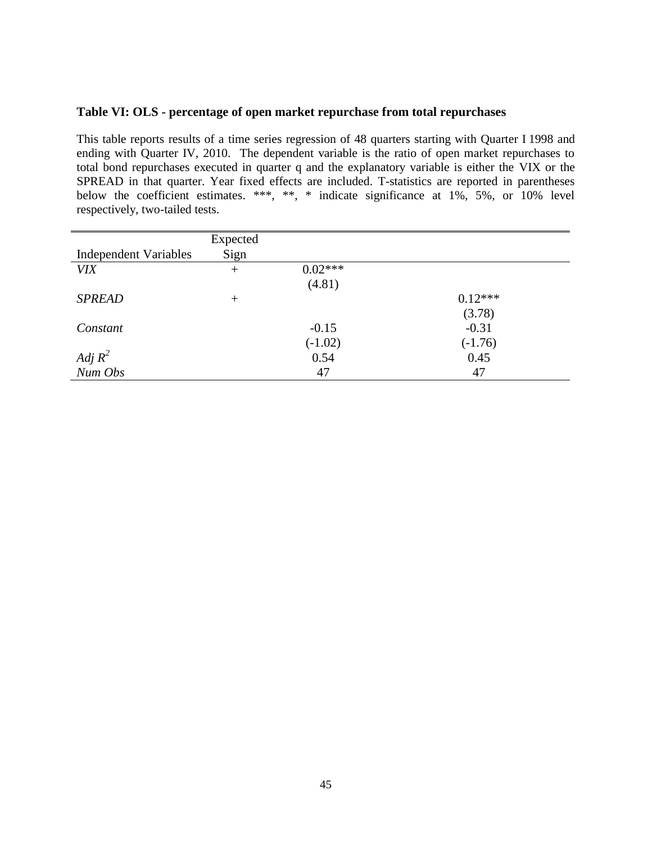#### **Table VI: OLS - percentage of open market repurchase from total repurchases**

This table reports results of a time series regression of 48 quarters starting with Quarter I 1998 and ending with Quarter IV, 2010. The dependent variable is the ratio of open market repurchases to total bond repurchases executed in quarter q and the explanatory variable is either the VIX or the SPREAD in that quarter. Year fixed effects are included. T-statistics are reported in parentheses below the coefficient estimates. \*\*\*, \*\*, \* indicate significance at 1%, 5%, or 10% level respectively, two-tailed tests.

|                              | Expected |           |           |
|------------------------------|----------|-----------|-----------|
| <b>Independent Variables</b> | Sign     |           |           |
| <b>VIX</b>                   | $+$      | $0.02***$ |           |
|                              |          | (4.81)    |           |
| <b>SPREAD</b>                | $+$      |           | $0.12***$ |
|                              |          |           | (3.78)    |
| Constant                     |          | $-0.15$   | $-0.31$   |
|                              |          | $(-1.02)$ | $(-1.76)$ |
| Adj $R^2$                    |          | 0.54      | 0.45      |
| Num Obs                      |          | 47        | 47        |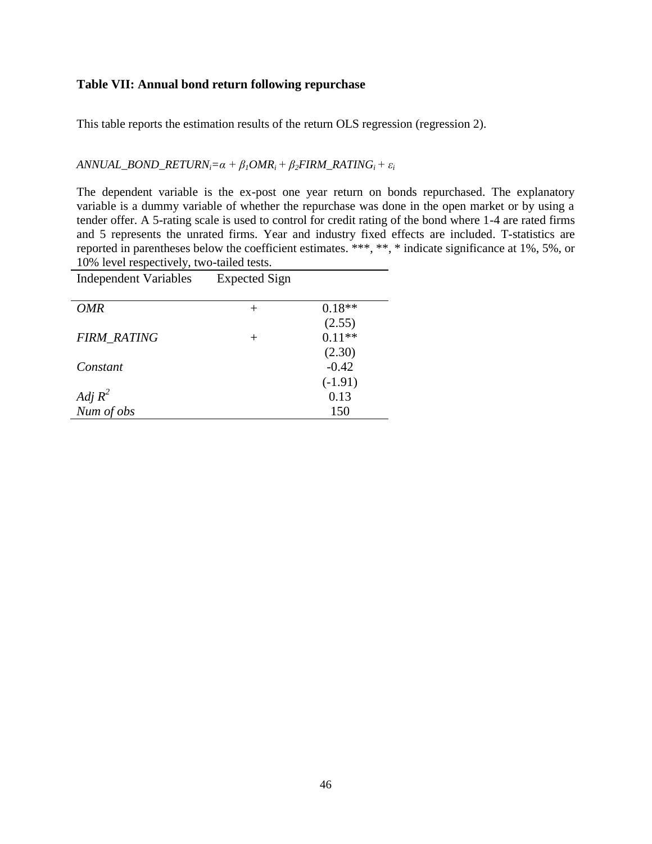#### **Table VII: Annual bond return following repurchase**

This table reports the estimation results of the return OLS regression (regression 2).

*ANNUAL\_BOND\_RETURN*<sub>*i*</sub>= $\alpha + \beta_1 OMR_i + \beta_2 FIRM$ \_RATING<sub>*i*</sub> +  $\varepsilon_i$ </sup>

The dependent variable is the ex-post one year return on bonds repurchased. The explanatory variable is a dummy variable of whether the repurchase was done in the open market or by using a tender offer. A 5-rating scale is used to control for credit rating of the bond where 1-4 are rated firms and 5 represents the unrated firms. Year and industry fixed effects are included. T-statistics are reported in parentheses below the coefficient estimates. \*\*\*, \*\*, \* indicate significance at 1%, 5%, or 10% level respectively, two-tailed tests.

| <b>Independent Variables</b> | <b>Expected Sign</b> |           |
|------------------------------|----------------------|-----------|
|                              |                      |           |
| OMR                          | $^+$                 | $0.18**$  |
|                              |                      | (2.55)    |
| <b>FIRM RATING</b>           | $^+$                 | $0.11**$  |
|                              |                      | (2.30)    |
| Constant                     |                      | $-0.42$   |
|                              |                      | $(-1.91)$ |
| Adj $R^2$                    |                      | 0.13      |
| Num of obs                   |                      | 150       |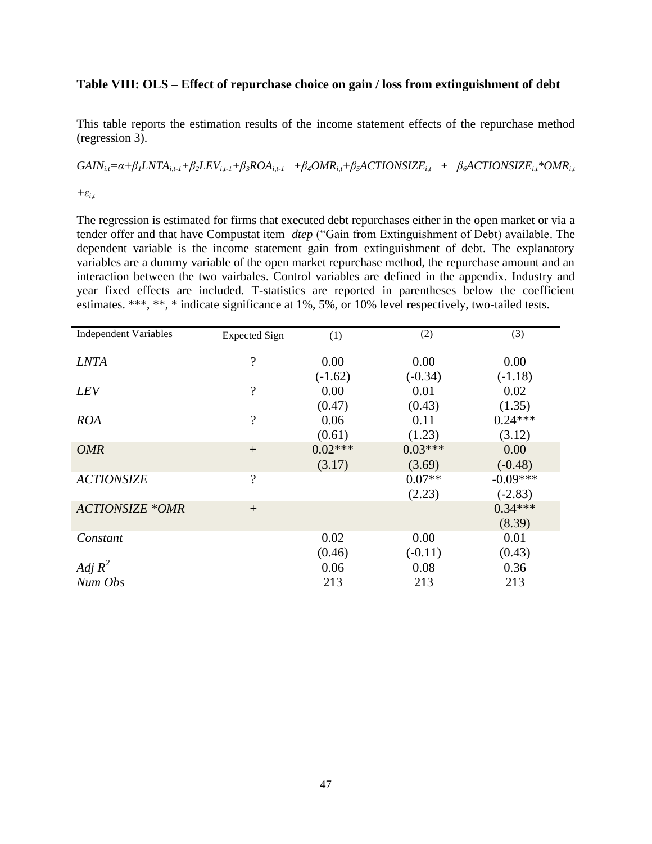#### **Table VIII: OLS – Effect of repurchase choice on gain / loss from extinguishment of debt**

This table reports the estimation results of the income statement effects of the repurchase method (regression 3).

 $GAIN_{i,t} = \alpha + \beta_1 LNTA_{i,t-1} + \beta_2 LEV_{i,t-1} + \beta_3 ROA_{i,t-1}$   $+ \beta_4 OMR_{i,t} + \beta_5 ACTIONSIZE_{i,t}$  +  $\beta_6 ACTION SIZE_{i,t} * OMR_{i,t}$ 

*+εi,t*

The regression is estimated for firms that executed debt repurchases either in the open market or via a tender offer and that have Compustat item *dtep* ("Gain from Extinguishment of Debt) available. The dependent variable is the income statement gain from extinguishment of debt. The explanatory variables are a dummy variable of the open market repurchase method, the repurchase amount and an interaction between the two vairbales. Control variables are defined in the appendix. Industry and year fixed effects are included. T-statistics are reported in parentheses below the coefficient estimates. \*\*\*, \*\*, \* indicate significance at 1%, 5%, or 10% level respectively, two-tailed tests.

| <b>Independent Variables</b> | <b>Expected Sign</b>     | (1)       | (2)       | (3)        |
|------------------------------|--------------------------|-----------|-----------|------------|
| <b>LNTA</b>                  | $\overline{\cdot}$       | 0.00      | 0.00      | 0.00       |
|                              |                          | $(-1.62)$ | $(-0.34)$ | $(-1.18)$  |
| <b>LEV</b>                   | $\overline{\mathcal{L}}$ | 0.00      | 0.01      | 0.02       |
|                              |                          | (0.47)    | (0.43)    | (1.35)     |
| <b>ROA</b>                   | $\overline{\mathcal{L}}$ | 0.06      | 0.11      | $0.24***$  |
|                              |                          | (0.61)    | (1.23)    | (3.12)     |
| <b>OMR</b>                   | $+$                      | $0.02***$ | $0.03***$ | 0.00       |
|                              |                          | (3.17)    | (3.69)    | $(-0.48)$  |
| <b>ACTIONSIZE</b>            | $\overline{\mathcal{L}}$ |           | $0.07**$  | $-0.09***$ |
|                              |                          |           | (2.23)    | $(-2.83)$  |
| <b>ACTIONSIZE *OMR</b>       | $+$                      |           |           | $0.34***$  |
|                              |                          |           |           | (8.39)     |
| Constant                     |                          | 0.02      | 0.00      | 0.01       |
|                              |                          | (0.46)    | $(-0.11)$ | (0.43)     |
| Adj $R^2$                    |                          | 0.06      | 0.08      | 0.36       |
| Num Obs                      |                          | 213       | 213       | 213        |